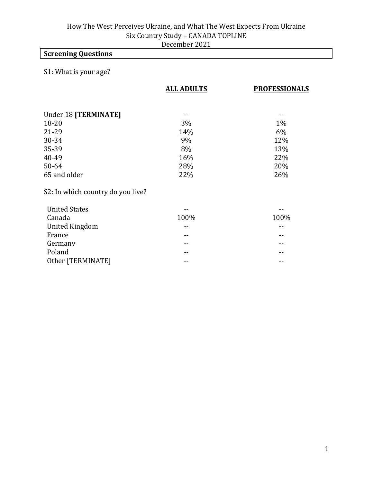## **Screening Questions**

### S1: What is your age?

|                                   | <b>ALL ADULTS</b> | <b>PROFESSIONALS</b> |
|-----------------------------------|-------------------|----------------------|
|                                   |                   |                      |
| Under 18 [TERMINATE]              |                   |                      |
| 18-20                             | 3%                | $1\%$                |
| 21-29                             | 14%               | $6\%$                |
| 30-34                             | 9%                | 12%                  |
| 35-39                             | 8%                | 13%                  |
| 40-49                             | 16%               | 22%                  |
| 50-64                             | 28%               | 20%                  |
| 65 and older                      | 22%               | 26%                  |
| S2: In which country do you live? |                   |                      |
| <b>United States</b>              |                   |                      |
| Canada                            | 100%              | 100%                 |
| <b>United Kingdom</b>             |                   |                      |
| France                            | --                |                      |
| Germany                           | --                |                      |
| Poland                            |                   |                      |
| Other [TERMINATE]                 |                   |                      |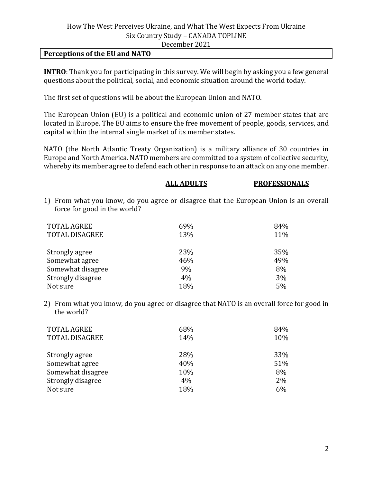#### **Perceptions of the EU and NATO**

**INTRO**: Thank you for participating in this survey. We will begin by asking you a few general questions about the political, social, and economic situation around the world today.

The first set of questions will be about the European Union and NATO.

The European Union (EU) is a political and economic union of 27 member states that are located in Europe. The EU aims to ensure the free movement of people, goods, services, and capital within the internal single market of its member states.

NATO (the North Atlantic Treaty Organization) is a military alliance of 30 countries in Europe and North America. NATO members are committed to a system of collective security, whereby its member agree to defend each other in response to an attack on any one member.

|                              | <b>ALL ADULTS</b> | <b>PROFESSIONALS</b>                                                                  |
|------------------------------|-------------------|---------------------------------------------------------------------------------------|
| force for good in the world? |                   | 1) From what you know, do you agree or disagree that the European Union is an overall |
| <b>TOTAL AGREE</b>           | 69%               | 84%                                                                                   |
| <b>TOTAL DISAGREE</b>        | 13%               | 11%                                                                                   |
| Strongly agree               | 23%               | 35%                                                                                   |
| Somewhat agree               | 46%               | 49%                                                                                   |
| Somewhat disagree            | 9%                | 8%                                                                                    |
| Strongly disagree            | 4%                | 3%                                                                                    |
| Not sure                     | 18%               | 5%                                                                                    |

2) From what you know, do you agree or disagree that NATO is an overall force for good in the world?

| <b>TOTAL AGREE</b><br><b>TOTAL DISAGREE</b> | 68%<br>14% | 84%<br>10% |
|---------------------------------------------|------------|------------|
| Strongly agree                              | 28%        | 33%        |
| Somewhat agree                              | 40%        | 51%        |
| Somewhat disagree                           | 10%        | 8%         |
| Strongly disagree                           | 4%         | 2%         |
| Not sure                                    | 18%        | 6%         |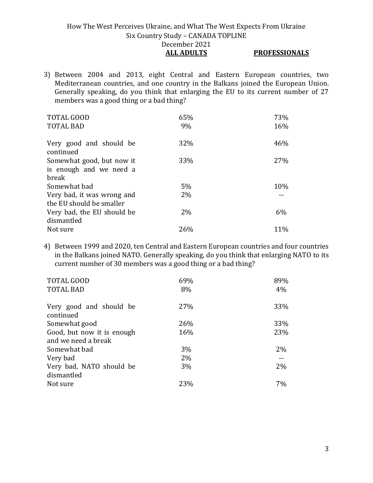3) Between 2004 and 2013, eight Central and Eastern European countries, two Mediterranean countries, and one country in the Balkans joined the European Union. Generally speaking, do you think that enlarging the EU to its current number of 27 members was a good thing or a bad thing?

| TOTAL GOOD                           | 65%   | 73% |
|--------------------------------------|-------|-----|
| <b>TOTAL BAD</b>                     | 9%    | 16% |
|                                      |       |     |
| Very good and should be<br>continued | 32%   | 46% |
| Somewhat good, but now it            | 33%   | 27% |
| is enough and we need a              |       |     |
| break                                |       |     |
| Somewhat bad                         | $5\%$ | 10% |
| Very bad, it was wrong and           | $2\%$ |     |
| the EU should be smaller             |       |     |
| Very bad, the EU should be           | $2\%$ | 6%  |
| dismantled                           |       |     |
| Not sure                             | 26%   | 11% |

4) Between 1999 and 2020, ten Central and Eastern European countries and four countries in the Balkans joined NATO. Generally speaking, do you think that enlarging NATO to its current number of 30 members was a good thing or a bad thing?

| 69%<br>8% | 89%<br>4% |
|-----------|-----------|
| 27%       | 33%       |
| 26%       | 33%       |
| 16%       | 23%       |
|           |           |
| 3%        | $2\%$     |
| 2%        |           |
| 3%        | 2%        |
|           |           |
| 23%       | 7%        |
|           |           |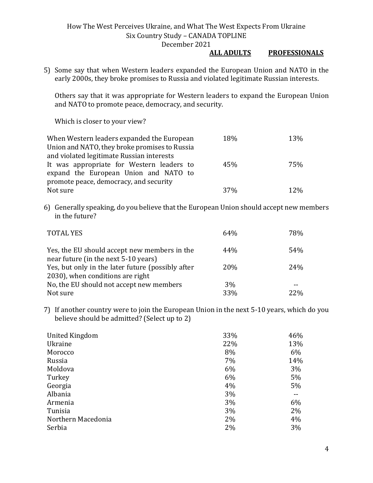#### **ALL ADULTS PROFESSIONALS**

5) Some say that when Western leaders expanded the European Union and NATO in the early 2000s, they broke promises to Russia and violated legitimate Russian interests.

Others say that it was appropriate for Western leaders to expand the European Union and NATO to promote peace, democracy, and security.

Which is closer to your view?

| When Western leaders expanded the European    | 18%             | 13%        |
|-----------------------------------------------|-----------------|------------|
| Union and NATO, they broke promises to Russia |                 |            |
| and violated legitimate Russian interests     |                 |            |
| It was appropriate for Western leaders to     | 45%             | 75%        |
| expand the European Union and NATO to         |                 |            |
| promote peace, democracy, and security        |                 |            |
| Not sure                                      | 37 <sub>%</sub> | <b>12%</b> |

6) Generally speaking, do you believe that the European Union should accept new members in the future?

| <b>TOTAL YES</b>                                                                     | 64 <sub>%</sub> | 78% |
|--------------------------------------------------------------------------------------|-----------------|-----|
| Yes, the EU should accept new members in the<br>near future (in the next 5-10 years) | 44%             | 54% |
| Yes, but only in the later future (possibly after                                    | 20%             | 24% |
| 2030), when conditions are right                                                     |                 |     |
| No, the EU should not accept new members                                             | 3%              |     |
| Not sure                                                                             | 33%             | 22% |

7) If another country were to join the European Union in the next 5-10 years, which do you believe should be admitted? (Select up to 2)

| United Kingdom     | 33%   | 46% |
|--------------------|-------|-----|
| Ukraine            | 22%   | 13% |
| Morocco            | 8%    | 6%  |
| Russia             | 7%    | 14% |
| Moldova            | 6%    | 3%  |
| Turkey             | 6%    | 5%  |
| Georgia            | 4%    | 5%  |
| Albania            | 3%    |     |
| Armenia            | 3%    | 6%  |
| Tunisia            | 3%    | 2%  |
| Northern Macedonia | $2\%$ | 4%  |
| Serbia             | 2%    | 3%  |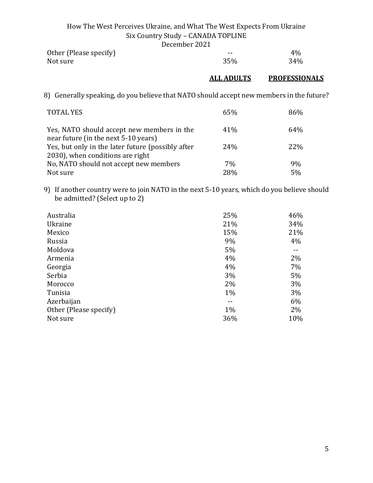|                        | ------------- |     |
|------------------------|---------------|-----|
| Other (Please specify) | $- -$         | 4%  |
| Not sure               | 35%           | 34% |

## **ALL ADULTS PROFESSIONALS**

8) Generally speaking, do you believe that NATO should accept new members in the future?

| <b>TOTAL YES</b>                                                                   | 65% | 86%  |
|------------------------------------------------------------------------------------|-----|------|
| Yes, NATO should accept new members in the<br>near future (in the next 5-10 years) | 41% | 64%  |
| Yes, but only in the later future (possibly after                                  | 24% | 22\% |
| 2030), when conditions are right                                                   |     |      |
| No, NATO should not accept new members                                             | 7%  | 9%   |
| Not sure                                                                           | 28% | 5%   |

9) If another country were to join NATO in the next 5-10 years, which do you believe should be admitted? (Select up to 2)

| Australia              | 25%   | 46% |
|------------------------|-------|-----|
| Ukraine                | 21%   | 34% |
| Mexico                 | 15%   | 21% |
| Russia                 | 9%    | 4%  |
| Moldova                | 5%    |     |
| Armenia                | 4%    | 2%  |
| Georgia                | 4%    | 7%  |
| Serbia                 | 3%    | 5%  |
| Morocco                | 2%    | 3%  |
| Tunisia                | $1\%$ | 3%  |
| Azerbaijan             |       | 6%  |
| Other (Please specify) | $1\%$ | 2%  |
| Not sure               | 36%   | 10% |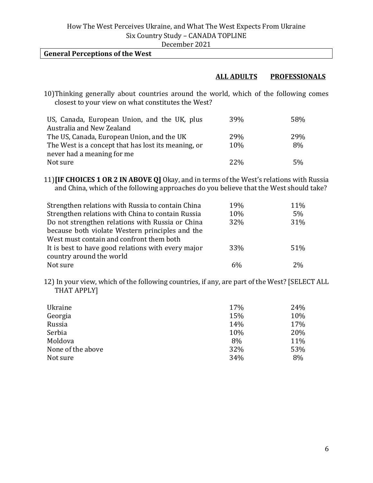December 2021

#### **General Perceptions of the West**

#### **ALL ADULTS PROFESSIONALS**

10)Thinking generally about countries around the world, which of the following comes closest to your view on what constitutes the West?

| US, Canada, European Union, and the UK, plus        | 39%        | 58% |
|-----------------------------------------------------|------------|-----|
| Australia and New Zealand                           |            |     |
| The US, Canada, European Union, and the UK          | <b>29%</b> | 29% |
| The West is a concept that has lost its meaning, or | 10%        | 8%  |
| never had a meaning for me                          |            |     |
| Not sure                                            | $22\%$     | 5%  |

11)**[IF CHOICES 1 OR 2 IN ABOVE Q]** Okay, and in terms of the West's relations with Russia and China, which of the following approaches do you believe that the West should take?

| Strengthen relations with Russia to contain China  | 19% | 11% |
|----------------------------------------------------|-----|-----|
| Strengthen relations with China to contain Russia  | 10% | 5%  |
| Do not strengthen relations with Russia or China   | 32% | 31% |
| because both violate Western principles and the    |     |     |
| West must contain and confront them both           |     |     |
| It is best to have good relations with every major | 33% | 51% |
| country around the world                           |     |     |
| Not sure                                           | 6%  | 2%  |

12) In your view, which of the following countries, if any, are part of the West? [SELECT ALL THAT APPLY]

| Ukraine           | 17% | 24% |
|-------------------|-----|-----|
| Georgia           | 15% | 10% |
| Russia            | 14% | 17% |
| Serbia            | 10% | 20% |
| Moldova           | 8%  | 11% |
| None of the above | 32% | 53% |
| Not sure          | 34% | 8%  |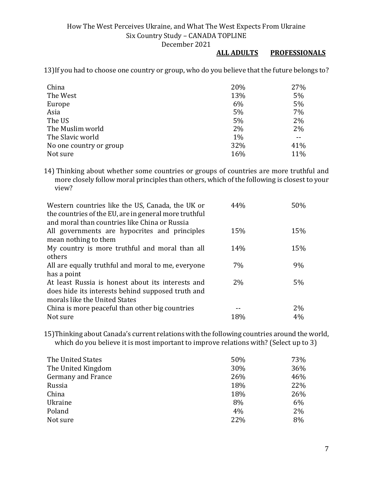#### **ALL ADULTS PROFESSIONALS**

13)If you had to choose one country or group, who do you believe that the future belongs to?

| China                   | 20% | 27% |
|-------------------------|-----|-----|
| The West                | 13% | 5%  |
| Europe                  | 6%  | 5%  |
| Asia                    | 5%  | 7%  |
| The US                  | 5%  | 2%  |
| The Muslim world        | 2%  | 2%  |
| The Slavic world        | 1%  |     |
| No one country or group | 32% | 41% |
| Not sure                | 16% | 11% |

14) Thinking about whether some countries or groups of countries are more truthful and more closely follow moral principles than others, which of the following is closest to your view?

| Western countries like the US, Canada, the UK or<br>the countries of the EU, are in general more truthful | 44% | 50% |
|-----------------------------------------------------------------------------------------------------------|-----|-----|
| and moral than countries like China or Russia                                                             |     |     |
| All governments are hypocrites and principles                                                             | 15% | 15% |
| mean nothing to them                                                                                      |     |     |
| My country is more truthful and moral than all                                                            | 14% | 15% |
| others                                                                                                    |     |     |
| All are equally truthful and moral to me, everyone                                                        | 7%  | 9%  |
| has a point                                                                                               |     |     |
| At least Russia is honest about its interests and                                                         | 2%  | 5%  |
| does hide its interests behind supposed truth and                                                         |     |     |
| morals like the United States                                                                             |     |     |
| China is more peaceful than other big countries                                                           |     | 2%  |
| Not sure                                                                                                  | 18% | 4%  |

15)Thinking about Canada's current relations with the following countries around the world, which do you believe it is most important to improve relations with? (Select up to 3)

| The United States  | 50% | 73% |
|--------------------|-----|-----|
| The United Kingdom | 30% | 36% |
| Germany and France | 26% | 46% |
| Russia             | 18% | 22% |
| China              | 18% | 26% |
| Ukraine            | 8%  | 6%  |
| Poland             | 4%  | 2%  |
| Not sure           | 22% | 8%  |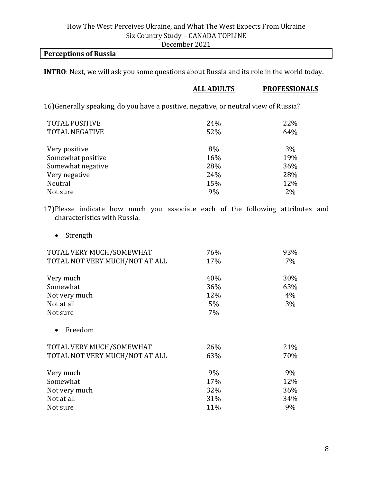### **Perceptions of Russia**

**INTRO**: Next, we will ask you some questions about Russia and its role in the world today.

|                                                                                                                | <b>ALL ADULTS</b> | <b>PROFESSIONALS</b> |
|----------------------------------------------------------------------------------------------------------------|-------------------|----------------------|
| 16) Generally speaking, do you have a positive, negative, or neutral view of Russia?                           |                   |                      |
| <b>TOTAL POSITIVE</b>                                                                                          | 24%               | 22%                  |
| <b>TOTAL NEGATIVE</b>                                                                                          | 52%               | 64%                  |
| Very positive                                                                                                  | 8%                | 3%                   |
| Somewhat positive                                                                                              | 16%               | 19%                  |
| Somewhat negative                                                                                              | 28%               | 36%                  |
| Very negative                                                                                                  | 24%               | 28%                  |
| Neutral                                                                                                        | 15%               | 12%                  |
| Not sure                                                                                                       | 9%                | 2%                   |
| 17)Please indicate how much you associate each of the following attributes and<br>characteristics with Russia. |                   |                      |
| Strength                                                                                                       |                   |                      |
| TOTAL VERY MUCH/SOMEWHAT                                                                                       | 76%               | 93%                  |
| TOTAL NOT VERY MUCH/NOT AT ALL                                                                                 | 17%               | 7%                   |
| Very much                                                                                                      | 40%               | 30%                  |
|                                                                                                                | 2001              | $\sim$               |

| Somewhat                       | 36% | 63%   |
|--------------------------------|-----|-------|
| Not very much                  | 12% | $4\%$ |
| Not at all                     | 5%  | $3\%$ |
| Not sure                       | 7%  |       |
| Freedom                        |     |       |
| TOTAL VERY MUCH/SOMEWHAT       | 26% | 21%   |
| TOTAL NOT VERY MUCH/NOT AT ALL | 63% | 70%   |

| Very much     | 9%  | 9%  |
|---------------|-----|-----|
| Somewhat      | 17% | 12% |
| Not very much | 32% | 36% |
| Not at all    | 31% | 34% |
| Not sure      | 11% | 9%  |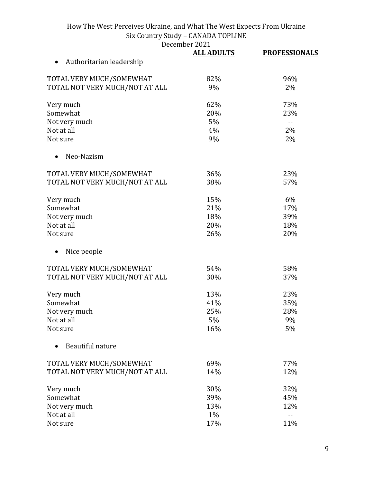|                                       | <b>ALL ADULTS</b> | <b>PROFESSIONALS</b> |
|---------------------------------------|-------------------|----------------------|
| Authoritarian leadership<br>$\bullet$ |                   |                      |
| TOTAL VERY MUCH/SOMEWHAT              | 82%               | 96%                  |
| TOTAL NOT VERY MUCH/NOT AT ALL        | 9%                | 2%                   |
| Very much                             | 62%               | 73%                  |
| Somewhat                              | 20%               | 23%                  |
| Not very much                         | 5%                | $\mathbf{u}$         |
| Not at all                            | 4%                | 2%                   |
| Not sure                              | 9%                | 2%                   |
| Neo-Nazism                            |                   |                      |
| TOTAL VERY MUCH/SOMEWHAT              | 36%               | 23%                  |
| TOTAL NOT VERY MUCH/NOT AT ALL        | 38%               | 57%                  |
| Very much                             | 15%               | 6%                   |
| Somewhat                              | 21%               | 17%                  |
| Not very much                         | 18%               | 39%                  |
| Not at all                            | 20%               | 18%                  |
| Not sure                              | 26%               | 20%                  |
| Nice people                           |                   |                      |
| TOTAL VERY MUCH/SOMEWHAT              | 54%               | 58%                  |
| TOTAL NOT VERY MUCH/NOT AT ALL        | 30%               | 37%                  |
| Very much                             | 13%               | 23%                  |
| Somewhat                              | 41%               | 35%                  |
| Not very much                         | 25%               | 28%                  |
| Not at all                            | 5%                | 9%                   |
| Not sure                              | 16%               | 5%                   |
| Beautiful nature                      |                   |                      |
| TOTAL VERY MUCH/SOMEWHAT              | 69%               | 77%                  |
| TOTAL NOT VERY MUCH/NOT AT ALL        | 14%               | 12%                  |
| Very much                             | 30%               | 32%                  |
| Somewhat                              | 39%               | 45%                  |
| Not very much                         | 13%               | 12%                  |
| Not at all                            | 1%                | $-$                  |
| Not sure                              | 17%               | 11%                  |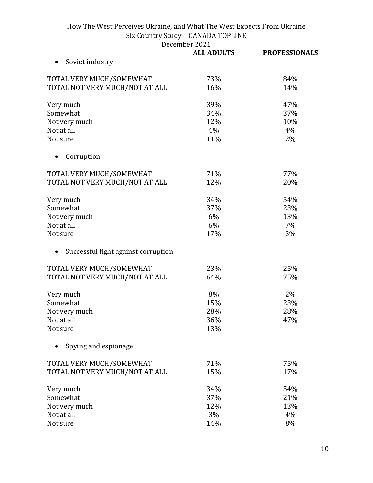| <b>ALL ADULTS</b> | <b>PROFESSIONALS</b>                                                                                |
|-------------------|-----------------------------------------------------------------------------------------------------|
|                   |                                                                                                     |
|                   | 84%                                                                                                 |
| 16%               | 14%                                                                                                 |
|                   | 47%                                                                                                 |
|                   | 37%                                                                                                 |
|                   | 10%                                                                                                 |
|                   | 4%                                                                                                  |
| 11%               | 2%                                                                                                  |
|                   |                                                                                                     |
|                   |                                                                                                     |
|                   | 77%                                                                                                 |
|                   | 20%                                                                                                 |
| 34%               | 54%                                                                                                 |
| 37%               | 23%                                                                                                 |
| 6%                | 13%                                                                                                 |
| 6%                | 7%                                                                                                  |
| 17%               | 3%                                                                                                  |
|                   |                                                                                                     |
| 23%               | 25%                                                                                                 |
| 64%               | 75%                                                                                                 |
| 8%                | 2%                                                                                                  |
| 15%               | 23%                                                                                                 |
|                   | 28%                                                                                                 |
|                   | 47%                                                                                                 |
| 13%               |                                                                                                     |
|                   |                                                                                                     |
|                   | 75%                                                                                                 |
| 15%               | 17%                                                                                                 |
|                   | 54%                                                                                                 |
|                   | 21%                                                                                                 |
|                   | 13%                                                                                                 |
|                   | 4%                                                                                                  |
|                   | 8%                                                                                                  |
|                   | 73%<br>39%<br>34%<br>12%<br>4%<br>71%<br>12%<br>28%<br>36%<br>71%<br>34%<br>37%<br>12%<br>3%<br>14% |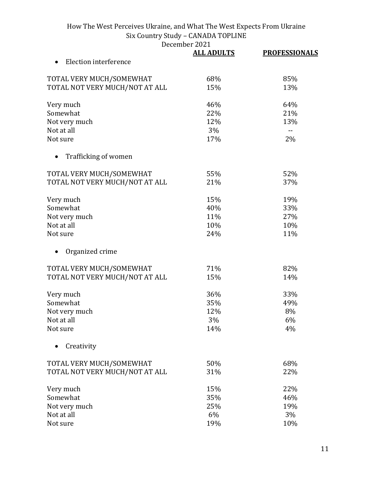December 2021<br>ALL ADULTS

|                                | <b>ALL ADULTS</b> | <b>PROFESSIONALS</b> |
|--------------------------------|-------------------|----------------------|
| Election interference          |                   |                      |
| TOTAL VERY MUCH/SOMEWHAT       | 68%               | 85%                  |
| TOTAL NOT VERY MUCH/NOT AT ALL | 15%               | 13%                  |
| Very much                      | 46%               | 64%                  |
| Somewhat                       | 22%               | 21%                  |
| Not very much                  | 12%               | 13%                  |
| Not at all                     | 3%                | $-$                  |
| Not sure                       | 17%               | 2%                   |
| Trafficking of women           |                   |                      |
| TOTAL VERY MUCH/SOMEWHAT       | 55%               | 52%                  |
| TOTAL NOT VERY MUCH/NOT AT ALL | 21%               | 37%                  |
| Very much                      | 15%               | 19%                  |
| Somewhat                       | 40%               | 33%                  |
| Not very much                  | 11%               | 27%                  |
| Not at all                     | 10%               | 10%                  |
| Not sure                       | 24%               | 11%                  |
| Organized crime                |                   |                      |
| TOTAL VERY MUCH/SOMEWHAT       | 71%               | 82%                  |
| TOTAL NOT VERY MUCH/NOT AT ALL | 15%               | 14%                  |
| Very much                      | 36%               | 33%                  |
| Somewhat                       | 35%               | 49%                  |
| Not very much                  | 12%               | 8%                   |
| Not at all                     | 3%                | 6%                   |
| Not sure                       | 14%               | 4%                   |
| Creativity                     |                   |                      |
| TOTAL VERY MUCH/SOMEWHAT       | 50%               | 68%                  |
| TOTAL NOT VERY MUCH/NOT AT ALL | 31%               | 22%                  |
| Very much                      | 15%               | 22%                  |
| Somewhat                       | 35%               | 46%                  |
| Not very much                  | 25%               | 19%                  |
| Not at all                     | 6%                | 3%                   |
| Not sure                       | 19%               | 10%                  |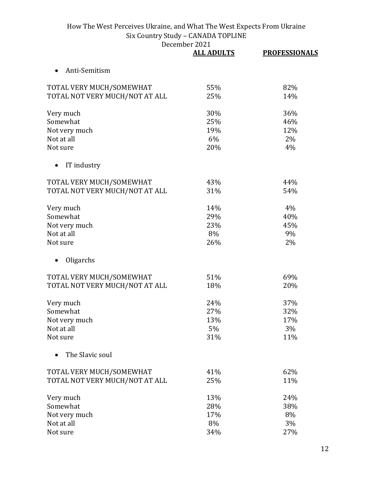|                                | <b>ALL ADULTS</b> | <b>PROFESSIONALS</b> |
|--------------------------------|-------------------|----------------------|
| Anti-Semitism<br>$\bullet$     |                   |                      |
| TOTAL VERY MUCH/SOMEWHAT       | 55%               | 82%                  |
| TOTAL NOT VERY MUCH/NOT AT ALL | 25%               | 14%                  |
| Very much                      | 30%               | 36%                  |
| Somewhat                       | 25%               | 46%                  |
| Not very much                  | 19%               | 12%                  |
| Not at all                     | 6%                | 2%                   |
| Not sure                       | 20%               | 4%                   |
| IT industry                    |                   |                      |
| TOTAL VERY MUCH/SOMEWHAT       | 43%               | 44%                  |
| TOTAL NOT VERY MUCH/NOT AT ALL | 31%               | 54%                  |
| Very much                      | 14%               | 4%                   |
| Somewhat                       | 29%               | 40%                  |
| Not very much                  | 23%               | 45%                  |
| Not at all                     | 8%                | 9%                   |
| Not sure                       | 26%               | 2%                   |
| Oligarchs                      |                   |                      |
| TOTAL VERY MUCH/SOMEWHAT       | 51%               | 69%                  |
| TOTAL NOT VERY MUCH/NOT AT ALL | 18%               | 20%                  |
| Very much                      | 24%               | 37%                  |
| Somewhat                       | 27%               | 32%                  |
| Not very much                  | 13%               | 17%                  |
| Not at all                     | 5%                | 3%                   |
| Not sure                       | 31%               | 11%                  |
| The Slavic soul                |                   |                      |
| TOTAL VERY MUCH/SOMEWHAT       | 41%               | 62%                  |
| TOTAL NOT VERY MUCH/NOT AT ALL | 25%               | 11%                  |
| Very much                      | 13%               | 24%                  |
| Somewhat                       | 28%               | 38%                  |
| Not very much                  | 17%               | 8%                   |
| Not at all                     | 8%                | 3%                   |
| Not sure                       | 34%               | 27%                  |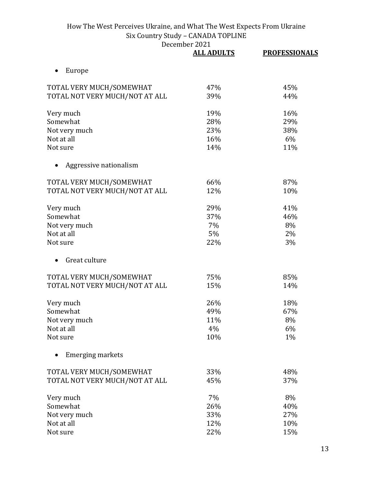| December 2021 |
|---------------|
|               |

|                                | <b>ALL ADULTS</b> | <b>PROFESSIONALS</b> |
|--------------------------------|-------------------|----------------------|
| Europe<br>$\bullet$            |                   |                      |
| TOTAL VERY MUCH/SOMEWHAT       | 47%               | 45%                  |
| TOTAL NOT VERY MUCH/NOT AT ALL | 39%               | 44%                  |
| Very much                      | 19%               | 16%                  |
| Somewhat                       | 28%               | 29%                  |
| Not very much                  | 23%               | 38%                  |
| Not at all                     | 16%               | 6%                   |
| Not sure                       | 14%               | 11%                  |
| Aggressive nationalism         |                   |                      |
| TOTAL VERY MUCH/SOMEWHAT       | 66%               | 87%                  |
| TOTAL NOT VERY MUCH/NOT AT ALL | 12%               | 10%                  |
| Very much                      | 29%               | 41%                  |
| Somewhat                       | 37%               | 46%                  |
| Not very much                  | 7%                | 8%                   |
| Not at all                     | 5%                | 2%                   |
| Not sure                       | 22%               | 3%                   |
| Great culture                  |                   |                      |
| TOTAL VERY MUCH/SOMEWHAT       | 75%               | 85%                  |
| TOTAL NOT VERY MUCH/NOT AT ALL | 15%               | 14%                  |
| Very much                      | 26%               | 18%                  |
| Somewhat                       | 49%               | 67%                  |
| Not very much                  | 11%               | 8%                   |
| Not at all                     | 4%                | 6%                   |
| Not sure                       | 10%               | 1%                   |
| <b>Emerging markets</b>        |                   |                      |
| TOTAL VERY MUCH/SOMEWHAT       | 33%               | 48%                  |
| TOTAL NOT VERY MUCH/NOT AT ALL | 45%               | 37%                  |
| Very much                      | 7%                | 8%                   |
| Somewhat                       | 26%               | 40%                  |
| Not very much                  | 33%               | 27%                  |
| Not at all                     | 12%               | 10%                  |
| Not sure                       | 22%               | 15%                  |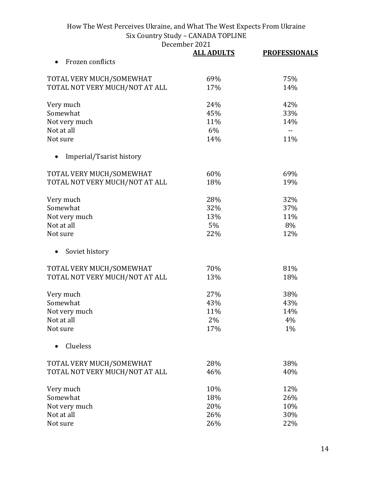|                                | DECEMBEL 2021     |                      |
|--------------------------------|-------------------|----------------------|
|                                | <b>ALL ADULTS</b> | <b>PROFESSIONALS</b> |
| Frozen conflicts               |                   |                      |
| TOTAL VERY MUCH/SOMEWHAT       | 69%               | 75%                  |
| TOTAL NOT VERY MUCH/NOT AT ALL | 17%               | 14%                  |
|                                |                   |                      |
| Very much                      | 24%               | 42%                  |
| Somewhat                       | 45%               | 33%                  |
| Not very much                  | 11%               | 14%                  |
| Not at all                     | 6%                | $\sim$ $\sim$        |
| Not sure                       | 14%               | 11%                  |
| Imperial/Tsarist history       |                   |                      |
| TOTAL VERY MUCH/SOMEWHAT       | 60%               | 69%                  |
| TOTAL NOT VERY MUCH/NOT AT ALL | 18%               | 19%                  |
|                                |                   |                      |
| Very much                      | 28%               | 32%                  |
| Somewhat                       | 32%               | 37%                  |
| Not very much                  | 13%               | 11%                  |
| Not at all                     | 5%                | 8%                   |
| Not sure                       | 22%               | 12%                  |
|                                |                   |                      |
| Soviet history                 |                   |                      |
| TOTAL VERY MUCH/SOMEWHAT       | 70%               | 81%                  |
| TOTAL NOT VERY MUCH/NOT AT ALL | 13%               | 18%                  |
|                                |                   |                      |
| Very much                      | 27%               | 38%                  |
| Somewhat                       | 43%               | 43%                  |
| Not very much                  | 11%               | 14%                  |
| Not at all                     | 2%                | 4%                   |
| Not sure                       | 17%               | $1\%$                |
| Clueless                       |                   |                      |
| TOTAL VERY MUCH/SOMEWHAT       | 28%               | 38%                  |
| TOTAL NOT VERY MUCH/NOT AT ALL | 46%               | 40%                  |
| Very much                      | 10%               | 12%                  |
| Somewhat                       | 18%               | 26%                  |
| Not very much                  | 20%               | 10%                  |
| Not at all                     | 26%               | 30%                  |
| Not sure                       | 26%               | 22%                  |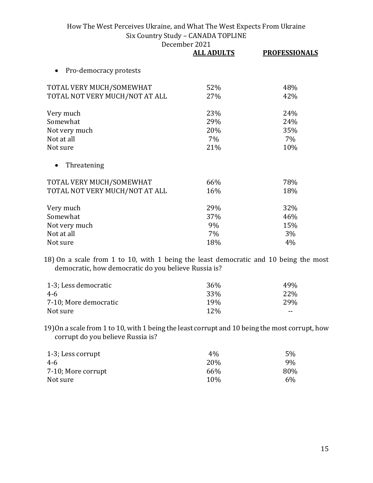December 2021

|                                | <b>ALL ADULTS</b> | <b>PROFESSIONALS</b> |
|--------------------------------|-------------------|----------------------|
| Pro-democracy protests         |                   |                      |
| TOTAL VERY MUCH/SOMEWHAT       | 52%               | 48%                  |
| TOTAL NOT VERY MUCH/NOT AT ALL | 27%               | 42%                  |
| Very much                      | 23%               | 24%                  |
| Somewhat                       | 29%               | 24%                  |
| Not very much                  | 20%               | 35%                  |
| Not at all                     | $7\%$             | $7\%$                |
| Not sure                       | 21%               | 10%                  |
| Threatening                    |                   |                      |
| TOTAL VERY MUCH/SOMEWHAT       | 66%               | 78%                  |
| TOTAL NOT VERY MUCH/NOT AT ALL | 16%               | 18%                  |
| Very much                      | 29%               | 32%                  |
| Somewhat                       | 37%               | 46%                  |
| Not very much                  | 9%                | 15%                  |
| Not at all                     | $7\%$             | 3%                   |
| Not sure                       | 18%               | 4%                   |

18) On a scale from 1 to 10, with 1 being the least democratic and 10 being the most democratic, how democratic do you believe Russia is?

| 1-3; Less democratic  | 36%             | 49%  |
|-----------------------|-----------------|------|
| 4-6                   | 33 <sup>%</sup> | 22\% |
| 7-10; More democratic | 19 <sub>%</sub> | 29%  |
| Not sure              | 12\%            | --   |

19)On a scale from 1 to 10, with 1 being the least corrupt and 10 being the most corrupt, how corrupt do you believe Russia is?

| 1-3; Less corrupt  | $4\%$      | 5%  |
|--------------------|------------|-----|
| 4-6                | <b>20%</b> | 9%  |
| 7-10; More corrupt | 66%        | 80% |
| Not sure           | 10%        | 6%  |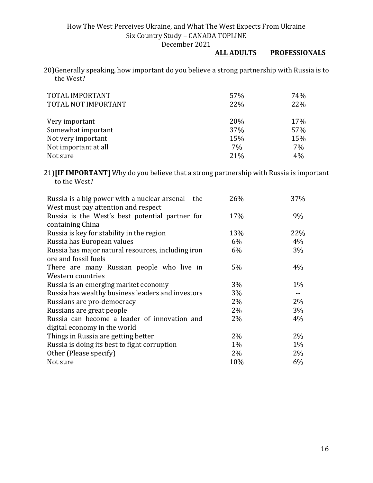## **ALL ADULTS PROFESSIONALS**

20)Generally speaking, how important do you believe a strong partnership with Russia is to the West?

| TOTAL IMPORTANT<br>TOTAL NOT IMPORTANT | 57%<br>22% | 74%<br>22% |
|----------------------------------------|------------|------------|
| Very important                         | 20%        | 17%        |
| Somewhat important                     | 37%        | 57%        |
| Not very important                     | 15%        | 15%        |
| Not important at all                   | 7%         | 7%         |
| Not sure                               | 21%        | 4%         |

21)**[IF IMPORTANT]** Why do you believe that a strong partnership with Russia is important to the West?

| Russia is a big power with a nuclear arsenal – the | 26%   | 37%   |
|----------------------------------------------------|-------|-------|
| West must pay attention and respect                |       |       |
| Russia is the West's best potential partner for    | 17%   | 9%    |
| containing China                                   |       |       |
| Russia is key for stability in the region          | 13%   | 22%   |
| Russia has European values                         | 6%    | 4%    |
| Russia has major natural resources, including iron | 6%    | 3%    |
| ore and fossil fuels                               |       |       |
| There are many Russian people who live in          | 5%    | 4%    |
| Western countries                                  |       |       |
| Russia is an emerging market economy               | 3%    | $1\%$ |
| Russia has wealthy business leaders and investors  | 3%    | $- -$ |
| Russians are pro-democracy                         | $2\%$ | $2\%$ |
| Russians are great people                          | 2%    | 3%    |
| Russia can become a leader of innovation and       | $2\%$ | 4%    |
| digital economy in the world                       |       |       |
| Things in Russia are getting better                | $2\%$ | $2\%$ |
| Russia is doing its best to fight corruption       | $1\%$ | $1\%$ |
| Other (Please specify)                             | 2%    | 2%    |
| Not sure                                           | 10%   | 6%    |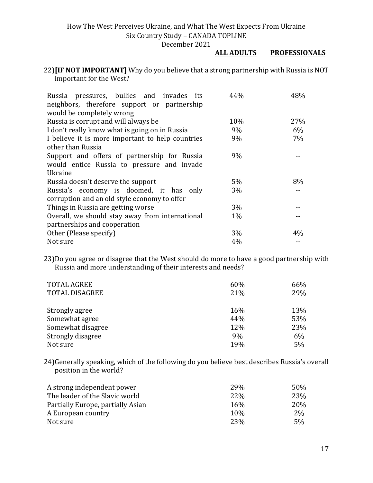December 2021

#### **ALL ADULTS PROFESSIONALS**

22)**[IF NOT IMPORTANT]** Why do you believe that a strong partnership with Russia is NOT important for the West?

| Russia pressures, bullies and invades its        | 44%   | 48%   |
|--------------------------------------------------|-------|-------|
| neighbors, therefore support or partnership      |       |       |
| would be completely wrong                        |       |       |
| Russia is corrupt and will always be             | 10%   | 27%   |
| I don't really know what is going on in Russia   | 9%    | 6%    |
| I believe it is more important to help countries | 9%    | 7%    |
| other than Russia                                |       |       |
| Support and offers of partnership for Russia     | 9%    |       |
| would entice Russia to pressure and invade       |       |       |
| Ukraine                                          |       |       |
| Russia doesn't deserve the support               | $5\%$ | 8%    |
| Russia's economy is doomed, it has only          | 3%    |       |
| corruption and an old style economy to offer     |       |       |
| Things in Russia are getting worse               | $3\%$ |       |
| Overall, we should stay away from international  | $1\%$ |       |
| partnerships and cooperation                     |       |       |
| Other (Please specify)                           | $3\%$ | $4\%$ |
| Not sure                                         | 4%    |       |

23)Do you agree or disagree that the West should do more to have a good partnership with Russia and more understanding of their interests and needs?

| <b>TOTAL AGREE</b>    | 60% | 66% |
|-----------------------|-----|-----|
| <b>TOTAL DISAGREE</b> | 21% | 29% |
|                       |     |     |
| Strongly agree        | 16% | 13% |
| Somewhat agree        | 44% | 53% |
| Somewhat disagree     | 12% | 23% |
| Strongly disagree     | 9%  | 6%  |
| Not sure              | 19% | 5%  |

24)Generally speaking, which of the following do you believe best describes Russia's overall position in the world?

| A strong independent power        | 29% | 50% |
|-----------------------------------|-----|-----|
| The leader of the Slavic world    | 22% | 23% |
| Partially Europe, partially Asian | 16% | 20% |
| A European country                | 10% | 2%  |
| Not sure                          | 23% | 5%  |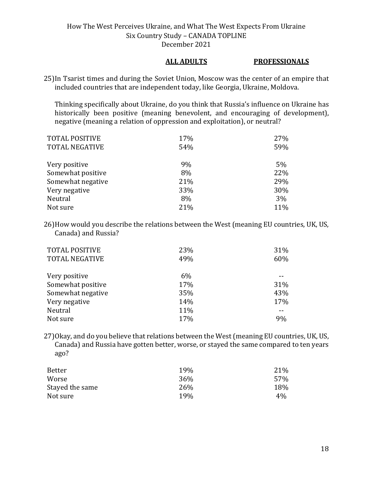#### **ALL ADULTS PROFESSIONALS**

25)In Tsarist times and during the Soviet Union, Moscow was the center of an empire that included countries that are independent today, like Georgia, Ukraine, Moldova.

Thinking specifically about Ukraine, do you think that Russia's influence on Ukraine has historically been positive (meaning benevolent, and encouraging of development), negative (meaning a relation of oppression and exploitation), or neutral?

| <b>TOTAL POSITIVE</b> | 17% | 27% |
|-----------------------|-----|-----|
| <b>TOTAL NEGATIVE</b> | 54% | 59% |
|                       |     |     |
| Very positive         | 9%  | 5%  |
| Somewhat positive     | 8%  | 22% |
| Somewhat negative     | 21% | 29% |
| Very negative         | 33% | 30% |
| Neutral               | 8%  | 3%  |
| Not sure              | 21% | 11% |

26)How would you describe the relations between the West (meaning EU countries, UK, US, Canada) and Russia?

| <b>TOTAL POSITIVE</b><br><b>TOTAL NEGATIVE</b> | 23%<br>49% | 31%<br>60% |
|------------------------------------------------|------------|------------|
| Very positive                                  | 6%         |            |
| Somewhat positive                              | 17%        | 31%        |
| Somewhat negative                              | 35%        | 43%        |
| Very negative                                  | 14%        | 17%        |
| Neutral                                        | 11%        |            |
| Not sure                                       | 17%        | 9%         |

27)Okay, and do you believe that relations between the West (meaning EU countries, UK, US, Canada) and Russia have gotten better, worse, or stayed the same compared to ten years ago?

| 19% | 21% |
|-----|-----|
| 36% | 57% |
| 26% | 18% |
| 19% | 4%  |
|     |     |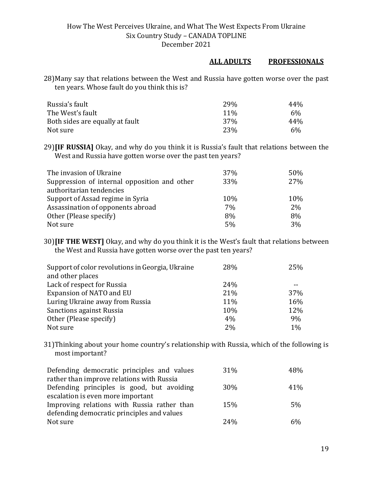#### **ALL ADULTS PROFESSIONALS**

28)Many say that relations between the West and Russia have gotten worse over the past ten years. Whose fault do you think this is?

| Russia's fault                  | 29%             | 44%   |
|---------------------------------|-----------------|-------|
| The West's fault                | $11\%$          | $6\%$ |
| Both sides are equally at fault | 37 <sub>%</sub> | 44%   |
| Not sure                        | 23\%            | 6%    |

29)**[IF RUSSIA]** Okay, and why do you think it is Russia's fault that relations between the West and Russia have gotten worse over the past ten years?

| The invasion of Ukraine                      | 37% | 50% |
|----------------------------------------------|-----|-----|
| Suppression of internal opposition and other | 33% | 27% |
| authoritarian tendencies                     |     |     |
| Support of Assad regime in Syria             | 10% | 10% |
| Assassination of opponents abroad            | 7%  | 2%  |
| Other (Please specify)                       | 8%  | 8%  |
| Not sure                                     | 5%  | 3%  |

30)**[IF THE WEST]** Okay, and why do you think it is the West's fault that relations between the West and Russia have gotten worse over the past ten years?

| Support of color revolutions in Georgia, Ukraine<br>and other places | 28%        | 25%        |
|----------------------------------------------------------------------|------------|------------|
| Lack of respect for Russia                                           | <b>24%</b> |            |
| Expansion of NATO and EU                                             | 21%        | <b>37%</b> |
| Luring Ukraine away from Russia                                      | 11%        | 16%        |
| Sanctions against Russia                                             | 10%        | 12%        |
| Other (Please specify)                                               | 4%         | 9%         |
| Not sure                                                             | 2%         | 1%         |

31)Thinking about your home country's relationship with Russia, which of the following is most important?

| Defending democratic principles and values  | 31%        | 48%   |
|---------------------------------------------|------------|-------|
| rather than improve relations with Russia   |            |       |
| Defending principles is good, but avoiding  | <b>30%</b> | 41%   |
| escalation is even more important           |            |       |
| Improving relations with Russia rather than | 15%        | 5%    |
| defending democratic principles and values  |            |       |
| Not sure                                    | 2.4%       | $6\%$ |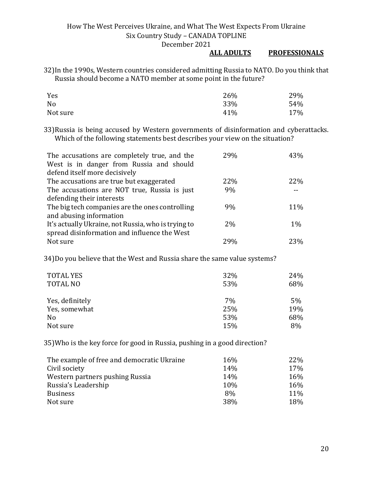#### **ALL ADULTS PROFESSIONALS**

32)In the 1990s, Western countries considered admitting Russia to NATO. Do you think that Russia should become a NATO member at some point in the future?

| Yes      | 26% | 29% |
|----------|-----|-----|
| No       | 33% | 54% |
| Not sure | 41% | 17% |

33)Russia is being accused by Western governments of disinformation and cyberattacks. Which of the following statements best describes your view on the situation?

| The accusations are completely true, and the<br>West is in danger from Russia and should<br>defend itself more decisively | 29% | 43%   |
|---------------------------------------------------------------------------------------------------------------------------|-----|-------|
| The accusations are true but exaggerated                                                                                  | 22% | 22%   |
| The accusations are NOT true, Russia is just                                                                              | 9%  |       |
| defending their interests                                                                                                 |     |       |
| The big tech companies are the ones controlling                                                                           | 9%  | 11%   |
| and abusing information                                                                                                   |     |       |
| It's actually Ukraine, not Russia, who is trying to                                                                       | 2%  | $1\%$ |
| spread disinformation and influence the West                                                                              |     |       |
| Not sure                                                                                                                  | 29% | 23%   |

34)Do you believe that the West and Russia share the same value systems?

| <b>TOTAL YES</b><br>32%<br><b>TOTAL NO</b><br>53% |     | 24%<br>68% |  |
|---------------------------------------------------|-----|------------|--|
| Yes, definitely                                   | 7%  | 5%         |  |
| Yes, somewhat                                     | 25% | 19%        |  |
| N <sub>0</sub>                                    | 53% | 68%        |  |
| Not sure                                          | 15% | 8%         |  |

35)Who is the key force for good in Russia, pushing in a good direction?

| The example of free and democratic Ukraine       | 16\%       | 22\%       |
|--------------------------------------------------|------------|------------|
| Civil society<br>Western partners pushing Russia | 14%<br>14% | 17%<br>16% |
| Russia's Leadership                              | <b>10%</b> | 16%        |
| <b>Business</b>                                  | 8%         | 11%        |
| Not sure                                         | 38%        | 18%        |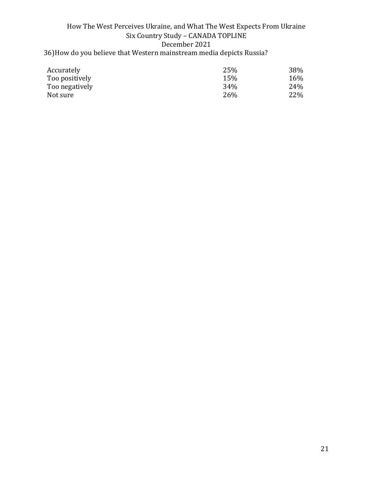#### How The West Perceives Ukraine, and What The West Expects From Ukraine Six Country Study – CANADA TOPLINE December 2021 36)How do you believe that Western mainstream media depicts Russia?

| Accurately     | 25% | 38% |
|----------------|-----|-----|
| Too positively | 15% | 16% |
| Too negatively | 34% | 24% |
| Not sure       | 26% | 22% |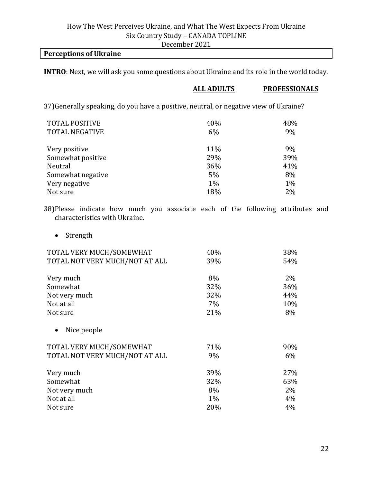#### **Perceptions of Ukraine**

**INTRO**: Next, we will ask you some questions about Ukraine and its role in the world today.

| <b>ALL ADULTS</b> | <b>PROFESSIONALS</b>                                                                  |
|-------------------|---------------------------------------------------------------------------------------|
|                   |                                                                                       |
| 40%               | 48%                                                                                   |
| 6%                | 9%                                                                                    |
| 11%               | 9%                                                                                    |
| 29%               | 39%                                                                                   |
| 36%               | 41%                                                                                   |
| 5%                | 8%                                                                                    |
| $1\%$             | $1\%$                                                                                 |
| 18%               | 2%                                                                                    |
|                   | 37) Generally speaking, do you have a positive, neutral, or negative view of Ukraine? |

38)Please indicate how much you associate each of the following attributes and characteristics with Ukraine.

• Strength

| TOTAL VERY MUCH/SOMEWHAT       | 40%   | 38%   |
|--------------------------------|-------|-------|
| TOTAL NOT VERY MUCH/NOT AT ALL | 39%   | 54%   |
| Very much                      | 8%    | 2%    |
| Somewhat                       | 32%   | 36%   |
| Not very much                  | 32%   | 44%   |
| Not at all                     | 7%    | 10%   |
| Not sure                       | 21%   | 8%    |
| Nice people                    |       |       |
| TOTAL VERY MUCH/SOMEWHAT       | 71%   | 90%   |
| TOTAL NOT VERY MUCH/NOT AT ALL | 9%    | $6\%$ |
| Very much                      | 39%   | 27%   |
| Somewhat                       | 32%   | 63%   |
| Not very much                  | 8%    | $2\%$ |
| Not at all                     | $1\%$ | 4%    |
| Not sure                       | 20%   | 4%    |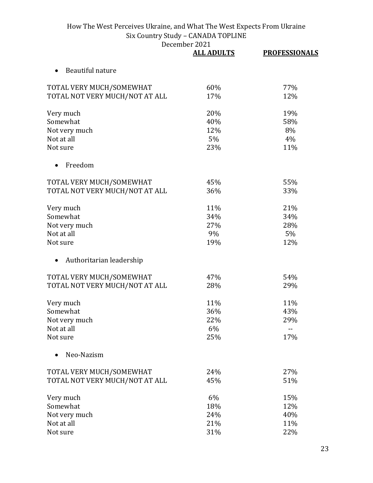|                                       | <b>ALL ADULTS</b> | <b>PROFESSIONALS</b> |
|---------------------------------------|-------------------|----------------------|
| Beautiful nature                      |                   |                      |
| TOTAL VERY MUCH/SOMEWHAT              | 60%               | 77%                  |
| TOTAL NOT VERY MUCH/NOT AT ALL        | 17%               | 12%                  |
| Very much                             | 20%               | 19%                  |
| Somewhat                              | 40%               | 58%                  |
| Not very much                         | 12%               | 8%                   |
| Not at all                            | 5%                | 4%                   |
| Not sure                              | 23%               | 11%                  |
| Freedom                               |                   |                      |
| TOTAL VERY MUCH/SOMEWHAT              | 45%               | 55%                  |
| TOTAL NOT VERY MUCH/NOT AT ALL        | 36%               | 33%                  |
| Very much                             | 11%               | 21%                  |
| Somewhat                              | 34%               | 34%                  |
| Not very much                         | 27%               | 28%                  |
| Not at all                            | 9%                | 5%                   |
| Not sure                              | 19%               | 12%                  |
| Authoritarian leadership<br>$\bullet$ |                   |                      |
| TOTAL VERY MUCH/SOMEWHAT              | 47%               | 54%                  |
| TOTAL NOT VERY MUCH/NOT AT ALL        | 28%               | 29%                  |
| Very much                             | 11%               | 11%                  |
| Somewhat                              | 36%               | 43%                  |
| Not very much                         | 22%               | 29%                  |
| Not at all                            | 6%                | --                   |
| Not sure                              | 25%               | 17%                  |
| Neo-Nazism                            |                   |                      |
| TOTAL VERY MUCH/SOMEWHAT              | 24%               | 27%                  |
| TOTAL NOT VERY MUCH/NOT AT ALL        | 45%               | 51%                  |
| Very much                             | 6%                | 15%                  |
| Somewhat                              | 18%               | 12%                  |
| Not very much                         | 24%               | 40%                  |
| Not at all                            | 21%               | 11%                  |
| Not sure                              | 31%               | 22%                  |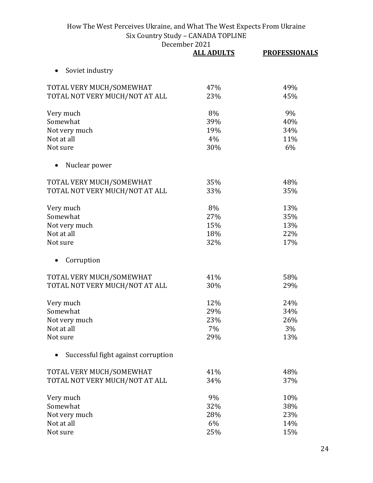|                                     | <b>ALL ADULTS</b> | <b>PROFESSIONALS</b> |
|-------------------------------------|-------------------|----------------------|
| Soviet industry<br>$\bullet$        |                   |                      |
| TOTAL VERY MUCH/SOMEWHAT            | 47%               | 49%                  |
| TOTAL NOT VERY MUCH/NOT AT ALL      | 23%               | 45%                  |
| Very much                           | 8%                | 9%                   |
| Somewhat                            | 39%               | 40%                  |
| Not very much                       | 19%               | 34%                  |
| Not at all                          | 4%                | 11%                  |
| Not sure                            | 30%               | 6%                   |
| Nuclear power                       |                   |                      |
| TOTAL VERY MUCH/SOMEWHAT            | 35%               | 48%                  |
| TOTAL NOT VERY MUCH/NOT AT ALL      | 33%               | 35%                  |
| Very much                           | 8%                | 13%                  |
| Somewhat                            | 27%               | 35%                  |
| Not very much                       | 15%               | 13%                  |
| Not at all                          | 18%               | 22%                  |
| Not sure                            | 32%               | 17%                  |
| Corruption                          |                   |                      |
| TOTAL VERY MUCH/SOMEWHAT            | 41%               | 58%                  |
| TOTAL NOT VERY MUCH/NOT AT ALL      | 30%               | 29%                  |
| Very much                           | 12%               | 24%                  |
| Somewhat                            | 29%               | 34%                  |
| Not very much                       | 23%               | 26%                  |
| Not at all                          | 7%                | 3%                   |
| Not sure                            | 29%               | 13%                  |
| Successful fight against corruption |                   |                      |
| TOTAL VERY MUCH/SOMEWHAT            | 41%               | 48%                  |
| TOTAL NOT VERY MUCH/NOT AT ALL      | 34%               | 37%                  |
| Very much                           | 9%                | 10%                  |
| Somewhat                            | 32%               | 38%                  |
| Not very much                       | 28%               | 23%                  |
| Not at all                          | 6%                | 14%                  |
| Not sure                            | 25%               | 15%                  |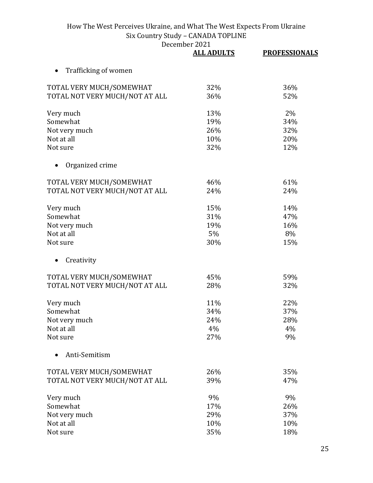|                                | <b>ALL ADULTS</b> | <b>PROFESSIONALS</b> |
|--------------------------------|-------------------|----------------------|
| Trafficking of women           |                   |                      |
| TOTAL VERY MUCH/SOMEWHAT       | 32%               | 36%                  |
| TOTAL NOT VERY MUCH/NOT AT ALL | 36%               | 52%                  |
| Very much                      | 13%               | 2%                   |
| Somewhat                       | 19%               | 34%                  |
| Not very much                  | 26%               | 32%                  |
| Not at all                     | 10%               | 20%                  |
| Not sure                       | 32%               | 12%                  |
| Organized crime                |                   |                      |
| TOTAL VERY MUCH/SOMEWHAT       | 46%               | 61%                  |
| TOTAL NOT VERY MUCH/NOT AT ALL | 24%               | 24%                  |
| Very much                      | 15%               | 14%                  |
| Somewhat                       | 31%               | 47%                  |
| Not very much                  | 19%               | 16%                  |
| Not at all                     | 5%                | 8%                   |
| Not sure                       | 30%               | 15%                  |
| Creativity                     |                   |                      |
| TOTAL VERY MUCH/SOMEWHAT       | 45%               | 59%                  |
| TOTAL NOT VERY MUCH/NOT AT ALL | 28%               | 32%                  |
| Very much                      | 11%               | 22%                  |
| Somewhat                       | 34%               | 37%                  |
| Not very much                  | 24%               | 28%                  |
| Not at all                     | 4%                | 4%                   |
| Not sure                       | 27%               | 9%                   |
| Anti-Semitism                  |                   |                      |
| TOTAL VERY MUCH/SOMEWHAT       | 26%               | 35%                  |
| TOTAL NOT VERY MUCH/NOT AT ALL | 39%               | 47%                  |
| Very much                      | 9%                | 9%                   |
| Somewhat                       | 17%               | 26%                  |
| Not very much                  | 29%               | 37%                  |
| Not at all                     | 10%               | 10%                  |
| Not sure                       | 35%               | 18%                  |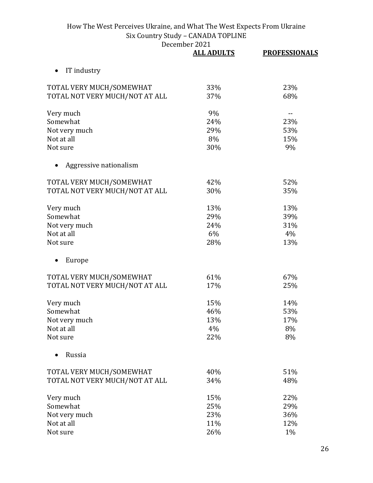| December 2021 |
|---------------|
|               |

|                                | <b>ALL ADULTS</b> | <b>PROFESSIONALS</b> |
|--------------------------------|-------------------|----------------------|
| IT industry                    |                   |                      |
| TOTAL VERY MUCH/SOMEWHAT       | 33%               | 23%                  |
| TOTAL NOT VERY MUCH/NOT AT ALL | 37%               | 68%                  |
| Very much                      | 9%                | $- -$                |
| Somewhat                       | 24%               | 23%                  |
| Not very much                  | 29%               | 53%                  |
| Not at all                     | 8%                | 15%                  |
| Not sure                       | 30%               | 9%                   |
| Aggressive nationalism         |                   |                      |
| TOTAL VERY MUCH/SOMEWHAT       | 42%               | 52%                  |
| TOTAL NOT VERY MUCH/NOT AT ALL | 30%               | 35%                  |
| Very much                      | 13%               | 13%                  |
| Somewhat                       | 29%               | 39%                  |
| Not very much                  | 24%               | 31%                  |
| Not at all                     | 6%                | 4%                   |
| Not sure                       | 28%               | 13%                  |
| Europe                         |                   |                      |
| TOTAL VERY MUCH/SOMEWHAT       | 61%               | 67%                  |
| TOTAL NOT VERY MUCH/NOT AT ALL | 17%               | 25%                  |
| Very much                      | 15%               | 14%                  |
| Somewhat                       | 46%               | 53%                  |
| Not very much                  | 13%               | 17%                  |
| Not at all                     | 4%                | 8%                   |
| Not sure                       | 22%               | 8%                   |
| Russia                         |                   |                      |
| TOTAL VERY MUCH/SOMEWHAT       | 40%               | 51%                  |
| TOTAL NOT VERY MUCH/NOT AT ALL | 34%               | 48%                  |
| Very much                      | 15%               | 22%                  |
| Somewhat                       | 25%               | 29%                  |
| Not very much                  | 23%               | 36%                  |
| Not at all                     | 11%               | 12%                  |
| Not sure                       | 26%               | 1%                   |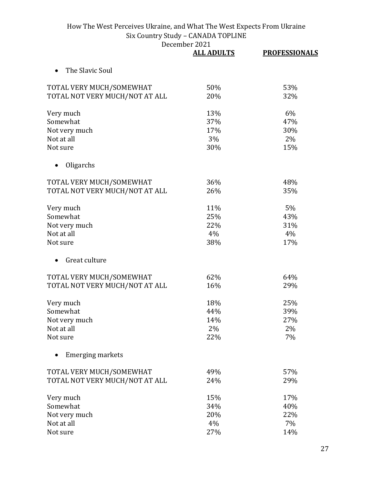|                                | <b>ALL ADULTS</b> | <b>PROFESSIONALS</b> |
|--------------------------------|-------------------|----------------------|
| The Slavic Soul                |                   |                      |
| TOTAL VERY MUCH/SOMEWHAT       | 50%               | 53%                  |
| TOTAL NOT VERY MUCH/NOT AT ALL | 20%               | 32%                  |
| Very much                      | 13%               | 6%                   |
| Somewhat                       | 37%               | 47%                  |
| Not very much                  | 17%               | 30%                  |
| Not at all                     | 3%                | 2%                   |
| Not sure                       | 30%               | 15%                  |
| Oligarchs                      |                   |                      |
| TOTAL VERY MUCH/SOMEWHAT       | 36%               | 48%                  |
| TOTAL NOT VERY MUCH/NOT AT ALL | 26%               | 35%                  |
| Very much                      | 11%               | 5%                   |
| Somewhat                       | 25%               | 43%                  |
| Not very much                  | 22%               | 31%                  |
| Not at all                     | 4%                | 4%                   |
| Not sure                       | 38%               | 17%                  |
| Great culture                  |                   |                      |
| TOTAL VERY MUCH/SOMEWHAT       | 62%               | 64%                  |
| TOTAL NOT VERY MUCH/NOT AT ALL | 16%               | 29%                  |
| Very much                      | 18%               | 25%                  |
| Somewhat                       | 44%               | 39%                  |
| Not very much                  | 14%               | 27%                  |
| Not at all                     | 2%                | 2%                   |
| Not sure                       | 22%               | 7%                   |
| <b>Emerging markets</b>        |                   |                      |
| TOTAL VERY MUCH/SOMEWHAT       | 49%               | 57%                  |
| TOTAL NOT VERY MUCH/NOT AT ALL | 24%               | 29%                  |
| Very much                      | 15%               | 17%                  |
| Somewhat                       | 34%               | 40%                  |
| Not very much                  | 20%               | 22%                  |
| Not at all                     | 4%                | 7%                   |
| Not sure                       | 27%               | 14%                  |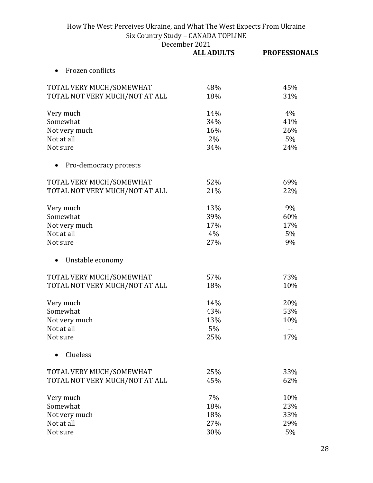|                                | <b>ALL ADULTS</b> | <b>PROFESSIONALS</b> |
|--------------------------------|-------------------|----------------------|
| Frozen conflicts               |                   |                      |
| TOTAL VERY MUCH/SOMEWHAT       | 48%               | 45%                  |
| TOTAL NOT VERY MUCH/NOT AT ALL | 18%               | 31%                  |
| Very much                      | 14%               | 4%                   |
| Somewhat                       | 34%               | 41%                  |
| Not very much                  | 16%               | 26%                  |
| Not at all                     | 2%                | 5%                   |
| Not sure                       | 34%               | 24%                  |
| Pro-democracy protests         |                   |                      |
| TOTAL VERY MUCH/SOMEWHAT       | 52%               | 69%                  |
| TOTAL NOT VERY MUCH/NOT AT ALL | 21%               | 22%                  |
| Very much                      | 13%               | 9%                   |
| Somewhat                       | 39%               | 60%                  |
| Not very much                  | 17%               | 17%                  |
| Not at all                     | 4%                | 5%                   |
| Not sure                       | 27%               | 9%                   |
| Unstable economy<br>$\bullet$  |                   |                      |
| TOTAL VERY MUCH/SOMEWHAT       | 57%               | 73%                  |
| TOTAL NOT VERY MUCH/NOT AT ALL | 18%               | 10%                  |
| Very much                      | 14%               | 20%                  |
| Somewhat                       | 43%               | 53%                  |
| Not very much                  | 13%               | 10%                  |
| Not at all                     | 5%                |                      |
| Not sure                       | 25%               | 17%                  |
| Clueless                       |                   |                      |
| TOTAL VERY MUCH/SOMEWHAT       | 25%               | 33%                  |
| TOTAL NOT VERY MUCH/NOT AT ALL | 45%               | 62%                  |
| Very much                      | 7%                | 10%                  |
| Somewhat                       | 18%               | 23%                  |
| Not very much                  | 18%               | 33%                  |
| Not at all                     | 27%               | 29%                  |
| Not sure                       | 30%               | 5%                   |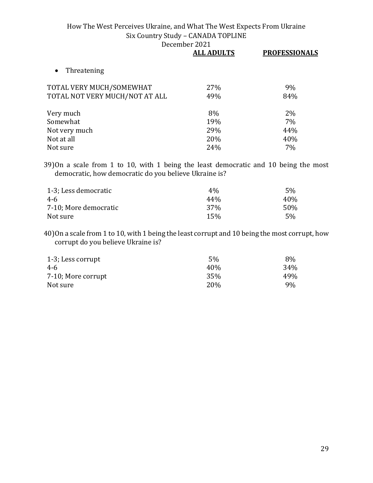| <b>ALL ADULTS</b> | <b>PROFESSIONALS</b> |
|-------------------|----------------------|
|                   |                      |
| 27%               | 9%                   |
| 49%               | 84%                  |
| 8%                | 2%                   |
| 19%               | 7%                   |
| 29%               | 44%                  |
| 20%               | 40%                  |
| 24%               | 7%                   |
|                   |                      |

39)On a scale from 1 to 10, with 1 being the least democratic and 10 being the most democratic, how democratic do you believe Ukraine is?

| 1-3; Less democratic  | $4\%$           | 5%  |
|-----------------------|-----------------|-----|
| 4-6                   | 44%             | 40% |
| 7-10; More democratic | 37 <sub>%</sub> | 50% |
| Not sure              | 15%             | 5%  |

40)On a scale from 1 to 10, with 1 being the least corrupt and 10 being the most corrupt, how corrupt do you believe Ukraine is?

| 1-3; Less corrupt  | 5%   | 8%  |
|--------------------|------|-----|
| 4-6                | 40\% | 34% |
| 7-10; More corrupt | 35%  | 49% |
| Not sure           | 20%  | 9%  |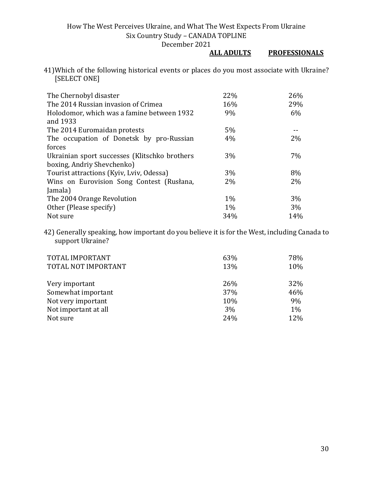#### December 2021<br>ALL ADULTS **PROFESSIONALS**

41)Which of the following historical events or places do you most associate with Ukraine? [SELECT ONE]

| The Chernobyl disaster                        | 22%   | 26% |
|-----------------------------------------------|-------|-----|
| The 2014 Russian invasion of Crimea           | 16%   | 29% |
| Holodomor, which was a famine between 1932    | 9%    | 6%  |
| and 1933                                      |       |     |
| The 2014 Euromaidan protests                  | 5%    |     |
| The occupation of Donetsk by pro-Russian      | 4%    | 2%  |
| forces                                        |       |     |
| Ukrainian sport successes (Klitschko brothers | 3%    | 7%  |
| boxing, Andriy Shevchenko)                    |       |     |
| Tourist attractions (Kyiv, Lviv, Odessa)      | 3%    | 8%  |
| Wins on Eurovision Song Contest (Rusłana,     | $2\%$ | 2%  |
| Jamala)                                       |       |     |
| The 2004 Orange Revolution                    | $1\%$ | 3%  |
| Other (Please specify)                        | $1\%$ | 3%  |
| Not sure                                      | 34%   | 14% |

42) Generally speaking, how important do you believe it is for the West, including Canada to support Ukraine?

| TOTAL IMPORTANT<br>TOTAL NOT IMPORTANT | 63%<br>13% | 78%<br>10% |
|----------------------------------------|------------|------------|
| Very important                         | 26%        | 32%        |
| Somewhat important                     | 37%        | 46%        |
| Not very important                     | 10%        | 9%         |
| Not important at all                   | 3%         | 1%         |
| Not sure                               | 24%        | 12%        |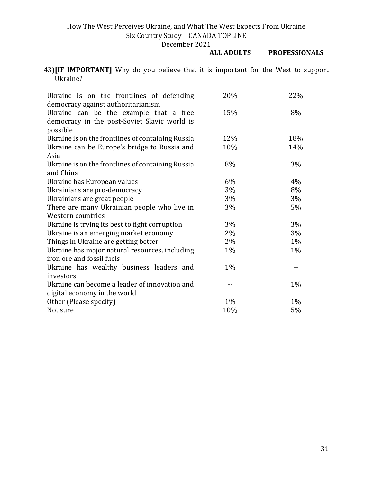#### December 2021<br>ALL ADULTS **PROFESSIONALS**

43)**[IF IMPORTANT]** Why do you believe that it is important for the West to support Ukraine?

| Ukraine is on the frontlines of defending<br>democracy against authoritarianism                    | 20%   | 22% |
|----------------------------------------------------------------------------------------------------|-------|-----|
| Ukraine can be the example that a free<br>democracy in the post-Soviet Slavic world is<br>possible | 15%   | 8%  |
| Ukraine is on the frontlines of containing Russia                                                  | 12%   | 18% |
| Ukraine can be Europe's bridge to Russia and                                                       | 10%   | 14% |
| Asia                                                                                               |       |     |
| Ukraine is on the frontlines of containing Russia<br>and China                                     | 8%    | 3%  |
| Ukraine has European values                                                                        | 6%    | 4%  |
| Ukrainians are pro-democracy                                                                       | 3%    | 8%  |
| Ukrainians are great people                                                                        | 3%    | 3%  |
| There are many Ukrainian people who live in                                                        | 3%    | 5%  |
| Western countries                                                                                  |       |     |
| Ukraine is trying its best to fight corruption                                                     | 3%    | 3%  |
| Ukraine is an emerging market economy                                                              | 2%    | 3%  |
| Things in Ukraine are getting better                                                               | 2%    | 1%  |
| Ukraine has major natural resources, including                                                     | 1%    | 1%  |
| iron ore and fossil fuels                                                                          |       |     |
| Ukraine has wealthy business leaders and                                                           | $1\%$ |     |
| investors                                                                                          |       |     |
| Ukraine can become a leader of innovation and                                                      |       | 1%  |
| digital economy in the world                                                                       |       |     |
| Other (Please specify)                                                                             | $1\%$ | 1%  |
| Not sure                                                                                           | 10%   | 5%  |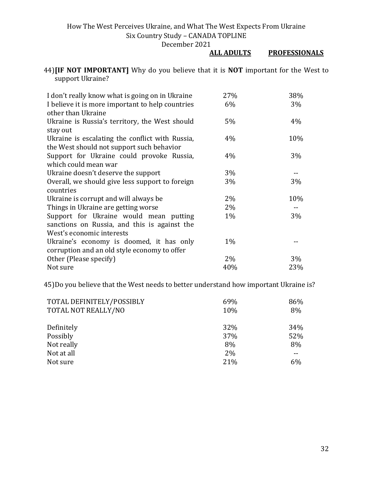#### **PROFESSIONALS**

44)**[IF NOT IMPORTANT]** Why do you believe that it is **NOT** important for the West to support Ukraine?

| I don't really know what is going on in Ukraine                        | 27%   | 38% |
|------------------------------------------------------------------------|-------|-----|
| I believe it is more important to help countries<br>other than Ukraine | $6\%$ | 3%  |
| Ukraine is Russia's territory, the West should                         | 5%    | 4%  |
| stay out                                                               |       |     |
| Ukraine is escalating the conflict with Russia,                        | 4%    | 10% |
| the West should not support such behavior                              |       |     |
| Support for Ukraine could provoke Russia,                              | $4\%$ | 3%  |
| which could mean war                                                   |       |     |
| Ukraine doesn't deserve the support                                    | 3%    |     |
| Overall, we should give less support to foreign                        | 3%    | 3%  |
| countries                                                              |       |     |
| Ukraine is corrupt and will always be                                  | 2%    | 10% |
| Things in Ukraine are getting worse                                    | 2%    |     |
| Support for Ukraine would mean putting                                 | $1\%$ | 3%  |
| sanctions on Russia, and this is against the                           |       |     |
| West's economic interests                                              |       |     |
| Ukraine's economy is doomed, it has only                               | $1\%$ |     |
| corruption and an old style economy to offer                           |       |     |
| Other (Please specify)                                                 | 2%    | 3%  |
| Not sure                                                               | 40%   | 23% |

45)Do you believe that the West needs to better understand how important Ukraine is?

| TOTAL DEFINITELY/POSSIBLY | 69% | 86% |
|---------------------------|-----|-----|
| TOTAL NOT REALLY/NO       | 10% | 8%  |
|                           | 32% | 34% |
| Definitely                |     |     |
| Possibly                  | 37% | 52% |
| Not really                | 8%  | 8%  |
| Not at all                | 2%  |     |
| Not sure                  | 21% | 6%  |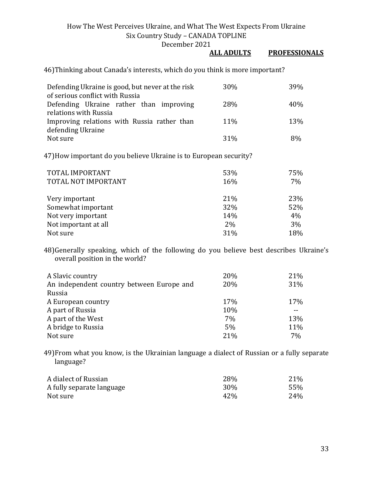December 2021

#### **ALL ADULTS PROFESSIONALS**

46)Thinking about Canada's interests, which do you think is more important?

| Defending Ukraine is good, but never at the risk | 30\%            | <b>39%</b> |
|--------------------------------------------------|-----------------|------------|
| of serious conflict with Russia                  |                 |            |
| Defending Ukraine rather than improving          | <b>28%</b>      | 40%        |
| relations with Russia                            |                 |            |
| Improving relations with Russia rather than      | 11%             | 13%        |
| defending Ukraine                                |                 |            |
| Not sure                                         | 31 <sup>%</sup> | 8%         |

47)How important do you believe Ukraine is to European security?

| TOTAL IMPORTANT<br>TOTAL NOT IMPORTANT | 53%<br>16% | 75%<br>7% |
|----------------------------------------|------------|-----------|
| Very important                         | 21%        | 23%       |
| Somewhat important                     | 32%        | 52%       |
| Not very important                     | 14%        | 4%        |
| Not important at all                   | 2%         | 3%        |
| Not sure                               | 31%        | 18%       |

48)Generally speaking, which of the following do you believe best describes Ukraine's overall position in the world?

| A Slavic country                          | 20% | 21% |
|-------------------------------------------|-----|-----|
| An independent country between Europe and | 20% | 31% |
| Russia                                    |     |     |
| A European country                        | 17% | 17% |
| A part of Russia                          | 10% |     |
| A part of the West                        | 7%  | 13% |
| A bridge to Russia                        | 5%  | 11% |
| Not sure                                  | 21% | 7%  |

49)From what you know, is the Ukrainian language a dialect of Russian or a fully separate language?

| A dialect of Russian      | 28%             | 21% |
|---------------------------|-----------------|-----|
| A fully separate language | 30 <sup>%</sup> | 55% |
| Not sure                  | 42%             | 24% |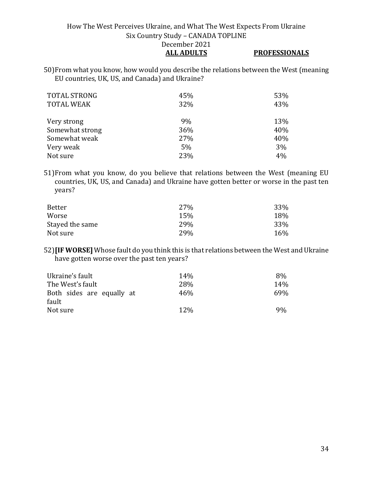50)From what you know, how would you describe the relations between the West (meaning EU countries, UK, US, and Canada) and Ukraine?

| <b>TOTAL STRONG</b><br><b>TOTAL WEAK</b> | 45%<br>32% | 53%<br>43% |
|------------------------------------------|------------|------------|
| Very strong                              | 9%         | 13%        |
| Somewhat strong                          | 36%        | 40%        |
| Somewhat weak                            | 27%        | 40%        |
| Very weak                                | 5%         | 3%         |
| Not sure                                 | 23%        | 4%         |

51)From what you know, do you believe that relations between the West (meaning EU countries, UK, US, and Canada) and Ukraine have gotten better or worse in the past ten years?

| Better          | 27% | 33% |
|-----------------|-----|-----|
| Worse           | 15% | 18% |
| Stayed the same | 29% | 33% |
| Not sure        | 29% | 16% |

52)**[IF WORSE]** Whose fault do you think this is that relations between the West and Ukraine have gotten worse over the past ten years?

| Ukraine's fault                    | 14 <sub>%</sub> | 8%  |
|------------------------------------|-----------------|-----|
| The West's fault                   | <b>28%</b>      | 14% |
| Both sides are equally at<br>fault | 46%             | 69% |
| Not sure                           | 12\%            | 9%  |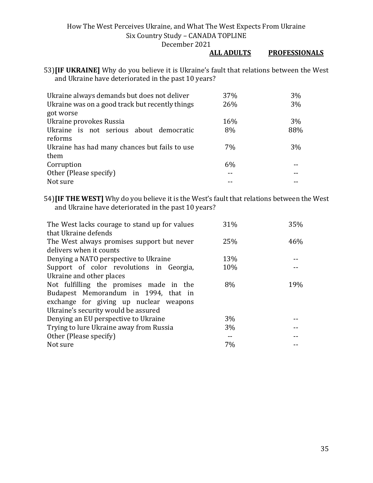#### **ALL ADULTS PROFESSIONALS**

53)**[IF UKRAINE]** Why do you believe it is Ukraine's fault that relations between the West and Ukraine have deteriorated in the past 10 years?

| Ukraine always demands but does not deliver     | 37% | $3\%$ |
|-------------------------------------------------|-----|-------|
| Ukraine was on a good track but recently things | 26% | $3\%$ |
| got worse                                       |     |       |
| Ukraine provokes Russia                         | 16% | $3\%$ |
| Ukraine is not serious about democratic         | 8%  | 88%   |
| reforms                                         |     |       |
| Ukraine has had many chances but fails to use   | 7%  | $3\%$ |
| them                                            |     |       |
| Corruption                                      | 6%  |       |
| Other (Please specify)                          |     |       |
| Not sure                                        |     |       |

54)**[IF THE WEST]** Why do you believe it is the West's fault that relations between the West and Ukraine have deteriorated in the past 10 years?

| The West lacks courage to stand up for values | 31% | 35% |
|-----------------------------------------------|-----|-----|
| that Ukraine defends                          |     |     |
| The West always promises support but never    | 25% | 46% |
| delivers when it counts                       |     |     |
| Denying a NATO perspective to Ukraine         | 13% |     |
| Support of color revolutions in Georgia,      | 10% |     |
| Ukraine and other places                      |     |     |
| Not fulfilling the promises made in the       | 8%  | 19% |
| Budapest Memorandum in 1994, that in          |     |     |
| exchange for giving up nuclear weapons        |     |     |
| Ukraine's security would be assured           |     |     |
| Denying an EU perspective to Ukraine          | 3%  |     |
| Trying to lure Ukraine away from Russia       | 3%  |     |
| Other (Please specify)                        |     |     |
| Not sure                                      | 7%  |     |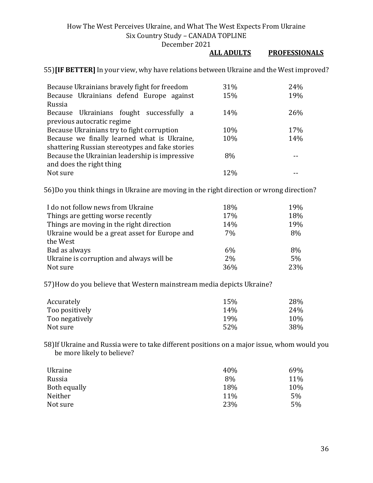December 2021

#### **ALL ADULTS PROFESSIONALS**

55)**[IF BETTER]** In your view, why have relations between Ukraine and the West improved?

| Because Ukrainians bravely fight for freedom    | 31% | 24% |
|-------------------------------------------------|-----|-----|
| Because Ukrainians defend Europe against        | 15% | 19% |
| Russia                                          |     |     |
| Because Ukrainians fought successfully a        | 14% | 26% |
| previous autocratic regime                      |     |     |
| Because Ukrainians try to fight corruption      | 10% | 17% |
| Because we finally learned what is Ukraine,     | 10% | 14% |
| shattering Russian stereotypes and fake stories |     |     |
| Because the Ukrainian leadership is impressive  | 8%  |     |
| and does the right thing                        |     |     |
| Not sure                                        | 12% |     |

56)Do you think things in Ukraine are moving in the right direction or wrong direction?

| I do not follow news from Ukraine             | 18% | 19% |
|-----------------------------------------------|-----|-----|
| Things are getting worse recently             | 17% | 18% |
| Things are moving in the right direction      | 14% | 19% |
| Ukraine would be a great asset for Europe and | 7%  | 8%  |
| the West                                      |     |     |
| Bad as always                                 | 6%  | 8%  |
| Ukraine is corruption and always will be      | 2%  | 5%  |
| Not sure                                      | 36% | 23% |

57)How do you believe that Western mainstream media depicts Ukraine?

| Accurately     | 15%             | 28% |
|----------------|-----------------|-----|
| Too positively | 14%             | 24% |
| Too negatively | 19 <sub>%</sub> | 10% |
| Not sure       | 52%             | 38% |

58)If Ukraine and Russia were to take different positions on a major issue, whom would you be more likely to believe?

| Ukraine      | 40% | 69% |
|--------------|-----|-----|
| Russia       | 8%  | 11% |
| Both equally | 18% | 10% |
| Neither      | 11% | 5%  |
| Not sure     | 23% | 5%  |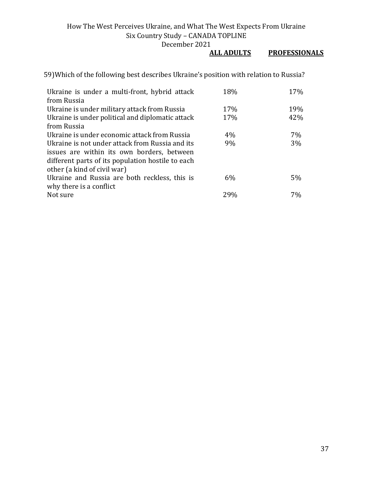#### **PROFESSIONALS**

59)Which of the following best describes Ukraine's position with relation to Russia?

| Ukraine is under a multi-front, hybrid attack     | 18% | 17% |
|---------------------------------------------------|-----|-----|
| from Russia                                       |     |     |
| Ukraine is under military attack from Russia      | 17% | 19% |
| Ukraine is under political and diplomatic attack  | 17% | 42% |
| from Russia                                       |     |     |
| Ukraine is under economic attack from Russia      | 4%  | 7%  |
| Ukraine is not under attack from Russia and its   | 9%  | 3%  |
| issues are within its own borders, between        |     |     |
| different parts of its population hostile to each |     |     |
| other (a kind of civil war)                       |     |     |
| Ukraine and Russia are both reckless, this is     | 6%  | 5%  |
| why there is a conflict                           |     |     |
| Not sure                                          | 29% | 7%  |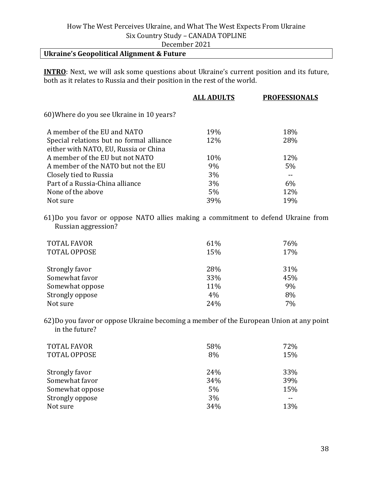## **Ukraine's Geopolitical Alignment & Future**

**INTRO**: Next, we will ask some questions about Ukraine's current position and its future, both as it relates to Russia and their position in the rest of the world.

|                                           | <b>ALL ADULTS</b> | <b>PROFESSIONALS</b> |
|-------------------------------------------|-------------------|----------------------|
| 60) Where do you see Ukraine in 10 years? |                   |                      |
| A member of the EU and NATO               | 19%               | 18%                  |
| Special relations but no formal alliance  | 12%               | 28%                  |
| either with NATO, EU, Russia or China     |                   |                      |
| A member of the EU but not NATO           | 10%               | 12%                  |
| A member of the NATO but not the EU       | 9%                | 5%                   |
| Closely tied to Russia                    | 3%                |                      |
| Part of a Russia-China alliance           | 3%                | 6%                   |
| None of the above                         | 5%                | 12%                  |
| Not sure                                  | 39%               | 19%                  |
|                                           |                   |                      |

61)Do you favor or oppose NATO allies making a commitment to defend Ukraine from Russian aggression?

| <b>TOTAL FAVOR</b><br><b>TOTAL OPPOSE</b> | 61%<br>15% | 76%<br>17% |
|-------------------------------------------|------------|------------|
| Strongly favor                            | 28%        | 31%        |
| Somewhat favor                            | 33%        | 45%        |
| Somewhat oppose                           | 11%        | 9%         |
| Strongly oppose                           | 4%         | 8%         |
| Not sure                                  | 24%        | 7%         |

62)Do you favor or oppose Ukraine becoming a member of the European Union at any point in the future?

| <b>TOTAL FAVOR</b><br><b>TOTAL OPPOSE</b> | 58%<br>8% | 72%<br>15% |
|-------------------------------------------|-----------|------------|
| Strongly favor                            | 24%       | 33%        |
| Somewhat favor                            | 34%       | 39%        |
| Somewhat oppose                           | 5%        | 15%        |
| Strongly oppose                           | 3%        |            |
| Not sure                                  | 34%       | 13%        |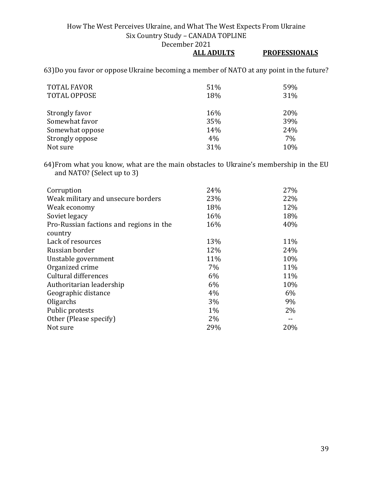December 2021<br>ALL ADULTS

## **PROFESSIONALS**

63)Do you favor or oppose Ukraine becoming a member of NATO at any point in the future?

| <b>TOTAL FAVOR</b>  | 51% | 59% |
|---------------------|-----|-----|
| <b>TOTAL OPPOSE</b> | 18% | 31% |
|                     |     |     |
| Strongly favor      | 16% | 20% |
| Somewhat favor      | 35% | 39% |
| Somewhat oppose     | 14% | 24% |
| Strongly oppose     | 4%  | 7%  |
| Not sure            | 31% | 10% |

64)From what you know, what are the main obstacles to Ukraine's membership in the EU and NATO? (Select up to 3)

| 24%   | 27% |
|-------|-----|
| 23%   | 22% |
| 18%   | 12% |
| 16%   | 18% |
| 16%   | 40% |
|       |     |
| 13%   | 11% |
| 12%   | 24% |
| 11%   | 10% |
| 7%    | 11% |
| 6%    | 11% |
| 6%    | 10% |
| 4%    | 6%  |
| 3%    | 9%  |
| $1\%$ | 2%  |
| $2\%$ |     |
| 29%   | 20% |
|       |     |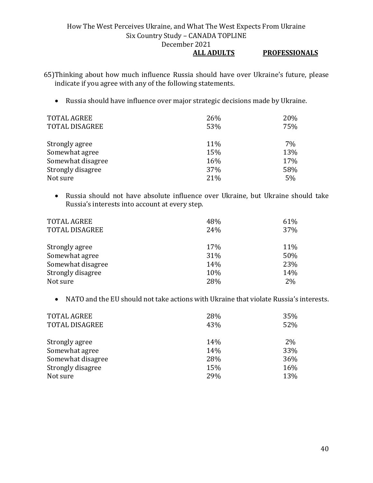### **ALL ADULTS PROFESSIONALS**

65)Thinking about how much influence Russia should have over Ukraine's future, please indicate if you agree with any of the following statements.

• Russia should have influence over major strategic decisions made by Ukraine.

| <b>TOTAL AGREE</b>    | 26% | 20% |
|-----------------------|-----|-----|
| <b>TOTAL DISAGREE</b> | 53% | 75% |
|                       |     |     |
| Strongly agree        | 11% | 7%  |
| Somewhat agree        | 15% | 13% |
| Somewhat disagree     | 16% | 17% |
| Strongly disagree     | 37% | 58% |
| Not sure              | 21% | 5%  |

• Russia should not have absolute influence over Ukraine, but Ukraine should take Russia's interests into account at every step.

| <b>TOTAL AGREE</b><br><b>TOTAL DISAGREE</b> | 48%<br>24% | 61%<br>37% |
|---------------------------------------------|------------|------------|
| Strongly agree                              | 17%        | 11%        |
| Somewhat agree                              | 31%        | 50%        |
| Somewhat disagree                           | 14%        | 23%        |
| Strongly disagree                           | 10%        | 14%        |
| Not sure                                    | 28%        | 2%         |

• NATO and the EU should not take actions with Ukraine that violate Russia's interests.

| <b>TOTAL AGREE</b>    | 28% | 35% |
|-----------------------|-----|-----|
| <b>TOTAL DISAGREE</b> | 43% | 52% |
|                       |     |     |
| Strongly agree        | 14% | 2%  |
| Somewhat agree        | 14% | 33% |
| Somewhat disagree     | 28% | 36% |
| Strongly disagree     | 15% | 16% |
| Not sure              | 29% | 13% |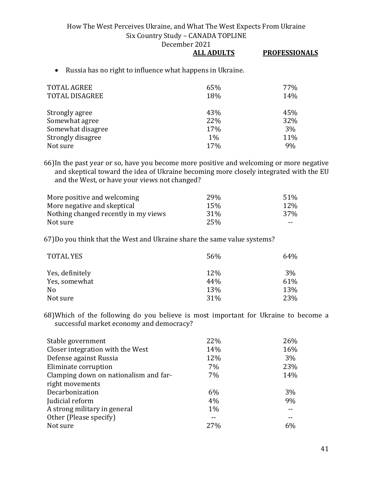December 2021

### **ALL ADULTS PROFESSIONALS**

• Russia has no right to influence what happens in Ukraine.

| <b>TOTAL AGREE</b><br><b>TOTAL DISAGREE</b> | 65%<br>18% | 77%<br>14% |
|---------------------------------------------|------------|------------|
| Strongly agree                              | 43%        | 45%        |
| Somewhat agree                              | 22%        | 32%        |
| Somewhat disagree                           | 17%        | 3%         |
| Strongly disagree                           | $1\%$      | 11%        |
| Not sure                                    | 17%        | 9%         |

66)In the past year or so, have you become more positive and welcoming or more negative and skeptical toward the idea of Ukraine becoming more closely integrated with the EU and the West, or have your views not changed?

| More positive and welcoming          | 29 <sub>%</sub> | 51%   |
|--------------------------------------|-----------------|-------|
| More negative and skeptical          | 15 <sub>%</sub> | 12\%  |
| Nothing changed recently in my views | 31 <sup>%</sup> | 37%   |
| Not sure                             | 25%             | $- -$ |

67)Do you think that the West and Ukraine share the same value systems?

| <b>TOTAL YES</b> | 56% | 64% |
|------------------|-----|-----|
| Yes, definitely  | 12% | 3%  |
| Yes, somewhat    | 44% | 61% |
| N <sub>0</sub>   | 13% | 13% |
| Not sure         | 31% | 23% |

68)Which of the following do you believe is most important for Ukraine to become a successful market economy and democracy?

| Stable government                     | 22%   | 26%   |
|---------------------------------------|-------|-------|
| Closer integration with the West      | 14%   | 16%   |
| Defense against Russia                | 12%   | $3\%$ |
| Eliminate corruption                  | 7%    | 23%   |
| Clamping down on nationalism and far- | 7%    | 14%   |
| right movements                       |       |       |
| Decarbonization                       | 6%    | 3%    |
| Judicial reform                       | 4%    | 9%    |
| A strong military in general          | $1\%$ |       |
| Other (Please specify)                |       |       |
| Not sure                              | 27%   | 6%    |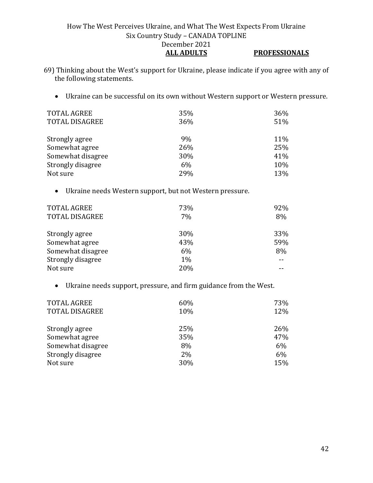- 69) Thinking about the West's support for Ukraine, please indicate if you agree with any of the following statements.
	- Ukraine can be successful on its own without Western support or Western pressure.

| <b>TOTAL AGREE</b>    | 35% | 36% |
|-----------------------|-----|-----|
| <b>TOTAL DISAGREE</b> | 36% | 51% |
|                       |     |     |
| Strongly agree        | 9%  | 11% |
| Somewhat agree        | 26% | 25% |
| Somewhat disagree     | 30% | 41% |
| Strongly disagree     | 6%  | 10% |
| Not sure              | 29% | 13% |

• Ukraine needs Western support, but not Western pressure.

| <b>TOTAL AGREE</b><br><b>TOTAL DISAGREE</b> | 73%<br>7% | 92%<br>8% |
|---------------------------------------------|-----------|-----------|
| Strongly agree                              | 30%       | 33%       |
| Somewhat agree                              | 43%       | 59%       |
| Somewhat disagree                           | 6%        | 8%        |
| Strongly disagree                           | $1\%$     |           |
| Not sure                                    | 20%       |           |

• Ukraine needs support, pressure, and firm guidance from the West.

| <b>TOTAL AGREE</b>    | 60% | 73% |
|-----------------------|-----|-----|
| <b>TOTAL DISAGREE</b> | 10% | 12% |
| Strongly agree        | 25% | 26% |
| Somewhat agree        | 35% | 47% |
| Somewhat disagree     | 8%  | 6%  |
| Strongly disagree     | 2%  | 6%  |
| Not sure              | 30% | 15% |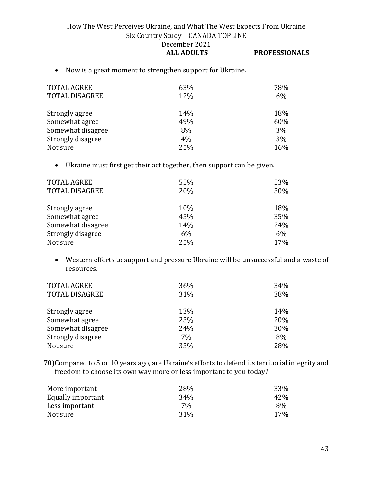• Now is a great moment to strengthen support for Ukraine.

| <b>TOTAL AGREE</b><br>TOTAL DISAGREE | 63%<br>12% | 78%<br>6% |
|--------------------------------------|------------|-----------|
| Strongly agree                       | 14%        | 18%       |
| Somewhat agree                       | 49%        | 60%       |
| Somewhat disagree                    | 8%         | 3%        |
| Strongly disagree                    | 4%         | 3%        |
| Not sure                             | 25%        | 16%       |

• Ukraine must first get their act together, then support can be given.

| <b>TOTAL AGREE</b><br>TOTAL DISAGREE | 55%<br>20% | 53%<br>30% |
|--------------------------------------|------------|------------|
| Strongly agree                       | 10%        | 18%        |
| Somewhat agree                       | 45%        | 35%        |
| Somewhat disagree                    | 14%        | 24%        |
| Strongly disagree                    | 6%         | 6%         |
| Not sure                             | 25%        | 17%        |

• Western efforts to support and pressure Ukraine will be unsuccessful and a waste of resources.

| <b>TOTAL AGREE</b><br><b>TOTAL DISAGREE</b> | 36%<br>31% | 34%<br>38% |
|---------------------------------------------|------------|------------|
| Strongly agree                              | 13%        | 14%        |
| Somewhat agree                              | 23%        | 20%        |
| Somewhat disagree                           | 24%        | 30%        |
| Strongly disagree                           | 7%         | 8%         |
| Not sure                                    | 33%        | 28%        |

70)Compared to 5 or 10 years ago, are Ukraine's efforts to defend its territorial integrity and freedom to choose its own way more or less important to you today?

| More important    | 28% | 33% |
|-------------------|-----|-----|
| Equally important | 34% | 42% |
| Less important    | 7%  | 8%  |
| Not sure          | 31% | 17% |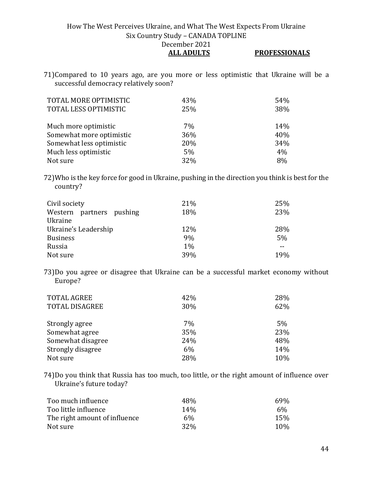71)Compared to 10 years ago, are you more or less optimistic that Ukraine will be a successful democracy relatively soon?

| TOTAL MORE OPTIMISTIC<br>TOTAL LESS OPTIMISTIC | 43%<br>25% | 54%<br>38% |
|------------------------------------------------|------------|------------|
| Much more optimistic                           | 7%         | 14%        |
| Somewhat more optimistic                       | 36%        | 40%        |
| Somewhat less optimistic                       | 20%        | 34%        |
| Much less optimistic                           | 5%         | 4%         |
| Not sure                                       | 32%        | 8%         |

72)Who is the key force for good in Ukraine, pushing in the direction you think is best for the country?

| Civil society<br>Western partners pushing<br>Ukraine | 21%<br>18% | 25%<br>23% |
|------------------------------------------------------|------------|------------|
| Ukraine's Leadership                                 | 12%        | 28%        |
| <b>Business</b>                                      | 9%         | 5%         |
| Russia                                               | $1\%$      |            |
| Not sure                                             | 39%        | 19%        |

73)Do you agree or disagree that Ukraine can be a successful market economy without Europe?

| <b>TOTAL AGREE</b><br><b>TOTAL DISAGREE</b> | 42%<br>30% | 28%<br>62% |
|---------------------------------------------|------------|------------|
| Strongly agree                              | 7%         | 5%         |
| Somewhat agree                              | 35%        | 23%        |
| Somewhat disagree                           | 24%        | 48%        |
| Strongly disagree                           | 6%         | 14%        |
| Not sure                                    | 28%        | 10%        |

74)Do you think that Russia has too much, too little, or the right amount of influence over Ukraine's future today?

| Too much influence            | 48%             | 69% |
|-------------------------------|-----------------|-----|
| Too little influence          | 14 <sub>%</sub> | 6%  |
| The right amount of influence | 6%              | 15% |
| Not sure                      | 32 <sub>%</sub> | 10% |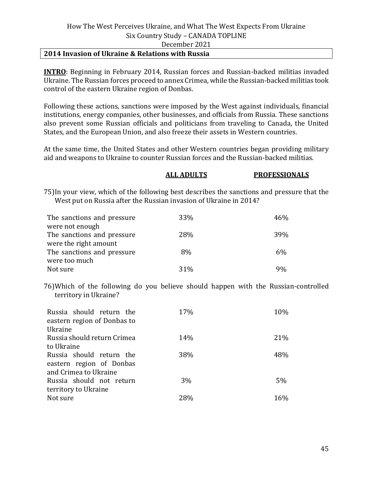#### **2014 Invasion of Ukraine & Relations with Russia**

**INTRO**: Beginning in February 2014, Russian forces and Russian-backed militias invaded Ukraine. The Russian forces proceed to annex Crimea, while the Russian-backed militias took control of the eastern Ukraine region of Donbas.

Following these actions, sanctions were imposed by the West against individuals, financial institutions, energy companies, other businesses, and officials from Russia. These sanctions also prevent some Russian officials and politicians from traveling to Canada, the United States, and the European Union, and also freeze their assets in Western countries.

At the same time, the United States and other Western countries began providing military aid and weapons to Ukraine to counter Russian forces and the Russian-backed militias.

#### **ALL ADULTS PROFESSIONALS**

75)In your view, which of the following best describes the sanctions and pressure that the West put on Russia after the Russian invasion of Ukraine in 2014?

| The sanctions and pressure | 33%        | 46%   |
|----------------------------|------------|-------|
| were not enough            |            |       |
| The sanctions and pressure | <b>28%</b> | 39%   |
| were the right amount      |            |       |
| The sanctions and pressure | 8%         | 6%    |
| were too much              |            |       |
| Not sure                   | $31\%$     | $Q_0$ |

76)Which of the following do you believe should happen with the Russian-controlled territory in Ukraine?

| Russia should return the<br>eastern region of Donbas to | 17% | 10% |
|---------------------------------------------------------|-----|-----|
| Ukraine                                                 |     |     |
| Russia should return Crimea                             | 14% | 21% |
| to Ukraine                                              |     |     |
| Russia should return the                                | 38% | 48% |
| eastern region of Donbas                                |     |     |
| and Crimea to Ukraine                                   |     |     |
| Russia should not return                                | 3%  | 5%  |
| territory to Ukraine                                    |     |     |
| Not sure                                                | 28% | 16% |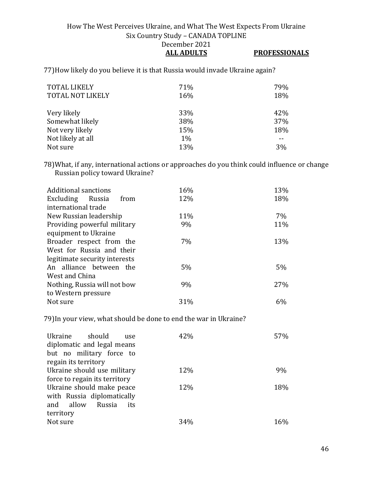77)How likely do you believe it is that Russia would invade Ukraine again?

| <b>TOTAL LIKELY</b><br><b>TOTAL NOT LIKELY</b> | 71%<br>16% | 79%<br>18% |
|------------------------------------------------|------------|------------|
| Very likely                                    | 33%        | 42%        |
| Somewhat likely                                | 38%        | 37%        |
| Not very likely                                | 15%        | 18%        |
| Not likely at all                              | $1\%$      |            |
| Not sure                                       | 13%        | 3%         |

78)What, if any, international actions or approaches do you think could influence or change Russian policy toward Ukraine?

| <b>Additional sanctions</b>   | 16% | 13%   |
|-------------------------------|-----|-------|
| Excluding Russia<br>from      | 12% | 18%   |
| international trade           |     |       |
| New Russian leadership        | 11% | $7\%$ |
| Providing powerful military   | 9%  | 11%   |
| equipment to Ukraine          |     |       |
| Broader respect from the      | 7%  | 13%   |
| West for Russia and their     |     |       |
| legitimate security interests |     |       |
| An alliance between the       | 5%  | $5\%$ |
| West and China                |     |       |
| Nothing, Russia will not bow  | 9%  | 27%   |
| to Western pressure           |     |       |
| Not sure                      | 31% | 6%    |
|                               |     |       |

79)In your view, what should be done to end the war in Ukraine?

| Ukraine should<br>use<br>diplomatic and legal means<br>but no military force to<br>regain its territory | 42% | 57% |
|---------------------------------------------------------------------------------------------------------|-----|-----|
| Ukraine should use military                                                                             | 12% | 9%  |
| force to regain its territory                                                                           |     |     |
| Ukraine should make peace<br>with Russia diplomatically<br>and allow<br>Russia<br>its                   | 12% | 18% |
| territory<br>Not sure                                                                                   | 34% | 16% |
|                                                                                                         |     |     |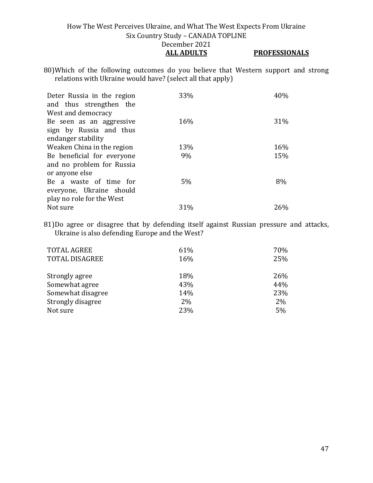80)Which of the following outcomes do you believe that Western support and strong relations with Ukraine would have? (select all that apply)

| 40% | 33%<br>Deter Russia in the region<br>and thus strengthen the<br>West and democracy   |
|-----|--------------------------------------------------------------------------------------|
| 31% | 16%<br>Be seen as an aggressive<br>sign by Russia and thus                           |
|     |                                                                                      |
|     |                                                                                      |
| 15% | Be beneficial for everyone<br>9%<br>and no problem for Russia                        |
|     | or anyone else                                                                       |
| 8%  | $5\%$<br>Be a waste of time for<br>everyone, Ukraine should                          |
| 26% | 31%<br>Not sure                                                                      |
| 16% | endanger stability<br>Weaken China in the region<br>13%<br>play no role for the West |

81)Do agree or disagree that by defending itself against Russian pressure and attacks, Ukraine is also defending Europe and the West?

| <b>TOTAL AGREE</b>    | 61% | 70% |
|-----------------------|-----|-----|
| <b>TOTAL DISAGREE</b> | 16% | 25% |
| Strongly agree        | 18% | 26% |
| Somewhat agree        | 43% | 44% |
| Somewhat disagree     | 14% | 23% |
| Strongly disagree     | 2%  | 2%  |
| Not sure              | 23% | 5%  |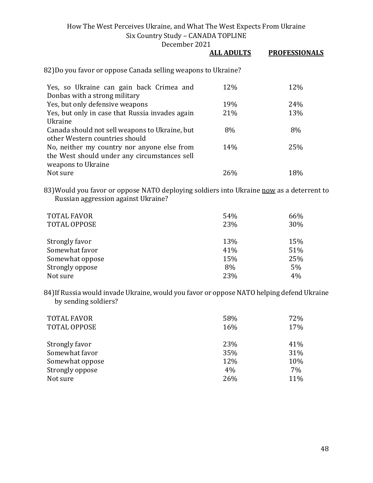December 2021

# **ALL ADULTS PROFESSIONALS**

82)Do you favor or oppose Canada selling weapons to Ukraine?

| Yes, so Ukraine can gain back Crimea and        | 12% | 12% |
|-------------------------------------------------|-----|-----|
| Donbas with a strong military                   |     |     |
| Yes, but only defensive weapons                 | 19% | 24% |
| Yes, but only in case that Russia invades again | 21% | 13% |
| Ukraine                                         |     |     |
| Canada should not sell weapons to Ukraine, but  | 8%  | 8%  |
| other Western countries should                  |     |     |
| No, neither my country nor anyone else from     | 14% | 25% |
| the West should under any circumstances sell    |     |     |
| weapons to Ukraine                              |     |     |
| Not sure                                        | 26% | 18% |

83) Would you favor or oppose NATO deploying soldiers into Ukraine now as a deterrent to Russian aggression against Ukraine?

| <b>TOTAL FAVOR</b><br><b>TOTAL OPPOSE</b> | 54%<br>23% | 66%<br>30% |
|-------------------------------------------|------------|------------|
| Strongly favor                            | 13%        | 15%        |
| Somewhat favor                            | 41%        | 51%        |
| Somewhat oppose                           | 15%        | 25%        |
| Strongly oppose                           | 8%         | 5%         |
| Not sure                                  | 23%        | 4%         |

84)If Russia would invade Ukraine, would you favor or oppose NATO helping defend Ukraine by sending soldiers?

| <b>TOTAL FAVOR</b><br><b>TOTAL OPPOSE</b> | 58%<br>16% | 72%<br>17% |
|-------------------------------------------|------------|------------|
| Strongly favor                            | 23%        | 41%        |
| Somewhat favor                            | 35%        | 31%        |
| Somewhat oppose                           | 12%        | 10%        |
| Strongly oppose                           | 4%         | 7%         |
| Not sure                                  | 26%        | 11%        |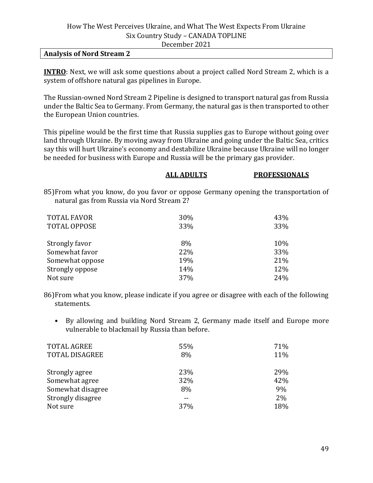#### **Analysis of Nord Stream 2**

**INTRO**: Next, we will ask some questions about a project called Nord Stream 2, which is a system of offshore natural gas pipelines in Europe.

The Russian-owned Nord Stream 2 Pipeline is designed to transport natural gas from Russia under the Baltic Sea to Germany. From Germany, the natural gas is then transported to other the European Union countries.

This pipeline would be the first time that Russia supplies gas to Europe without going over land through Ukraine. By moving away from Ukraine and going under the Baltic Sea, critics say this will hurt Ukraine's economy and destabilize Ukraine because Ukraine will no longer be needed for business with Europe and Russia will be the primary gas provider.

# **ALL ADULTS PROFESSIONALS**

85)From what you know, do you favor or oppose Germany opening the transportation of natural gas from Russia via Nord Stream 2?

| <b>TOTAL FAVOR</b>  | 30% | 43% |
|---------------------|-----|-----|
| <b>TOTAL OPPOSE</b> | 33% | 33% |
| Strongly favor      | 8%  | 10% |
| Somewhat favor      | 22% | 33% |
| Somewhat oppose     | 19% | 21% |
| Strongly oppose     | 14% | 12% |
| Not sure            | 37% | 24% |

86)From what you know, please indicate if you agree or disagree with each of the following statements.

• By allowing and building Nord Stream 2, Germany made itself and Europe more vulnerable to blackmail by Russia than before.

| <b>TOTAL AGREE</b>    | 55% | 71%   |
|-----------------------|-----|-------|
| <b>TOTAL DISAGREE</b> | 8%  | 11%   |
| Strongly agree        | 23% | 29%   |
| Somewhat agree        | 32% | 42%   |
| Somewhat disagree     | 8%  | 9%    |
| Strongly disagree     |     | $2\%$ |
| Not sure              | 37% | 18%   |
|                       |     |       |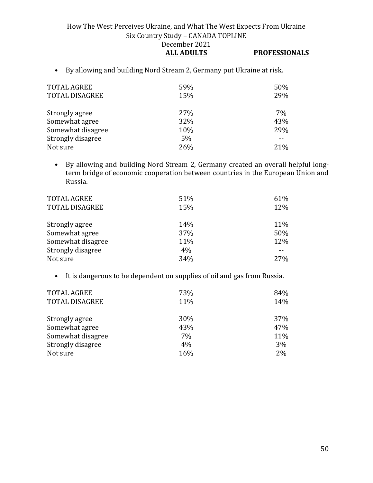• By allowing and building Nord Stream 2, Germany put Ukraine at risk.

| <b>TOTAL AGREE</b><br><b>TOTAL DISAGREE</b> | 59%<br>15% | 50%<br>29% |
|---------------------------------------------|------------|------------|
| Strongly agree                              | 27%        | 7%         |
| Somewhat agree                              | 32%        | 43%        |
| Somewhat disagree                           | 10%        | 29%        |
| Strongly disagree                           | 5%         |            |
| Not sure                                    | 26%        | 21%        |

• By allowing and building Nord Stream 2, Germany created an overall helpful longterm bridge of economic cooperation between countries in the European Union and Russia.

| <b>TOTAL AGREE</b><br><b>TOTAL DISAGREE</b> | 51%<br>15% | 61%<br>12% |
|---------------------------------------------|------------|------------|
| Strongly agree                              | 14%        | 11%        |
| Somewhat agree                              | 37%        | 50%        |
| Somewhat disagree                           | 11%        | 12%        |
| Strongly disagree                           | 4%         |            |
| Not sure                                    | 34%        | 27%        |

• It is dangerous to be dependent on supplies of oil and gas from Russia.

| <b>TOTAL AGREE</b>    | 73% | 84%        |
|-----------------------|-----|------------|
| <b>TOTAL DISAGREE</b> | 11% | 14%        |
|                       |     |            |
| Strongly agree        | 30% | <b>37%</b> |
| Somewhat agree        | 43% | 47%        |
| Somewhat disagree     | 7%  | 11%        |
| Strongly disagree     | 4%  | 3%         |
| Not sure              | 16% | 2%         |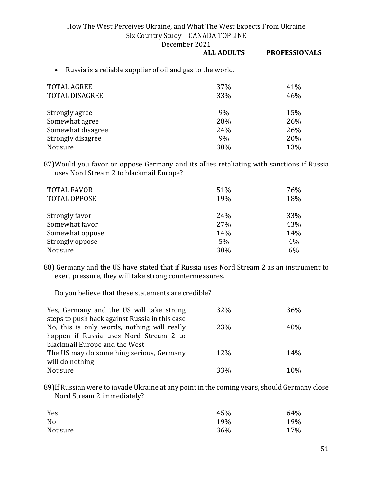December 2021

|                                                            | <b>ALL ADULTS</b> | <b>PROFESSIONALS</b> |
|------------------------------------------------------------|-------------------|----------------------|
| Russia is a reliable supplier of oil and gas to the world. |                   |                      |
| TOTAL AGREE                                                | 37 <sub>%</sub>   | 41 <sup>%</sup>      |

| 33% | 46% |
|-----|-----|
| 9%  | 15% |
| 28% | 26% |
| 24% | 26% |
| 9%  | 20% |
| 30% | 13% |
|     |     |

87)Would you favor or oppose Germany and its allies retaliating with sanctions if Russia uses Nord Stream 2 to blackmail Europe?

| <b>TOTAL FAVOR</b><br><b>TOTAL OPPOSE</b> | 51%<br>19% | 76%<br>18% |
|-------------------------------------------|------------|------------|
| Strongly favor                            | 24%        | 33%        |
| Somewhat favor                            | 27%        | 43%        |
| Somewhat oppose                           | 14%        | 14%        |
| Strongly oppose                           | 5%         | 4%         |
| Not sure                                  | 30%        | 6%         |

88) Germany and the US have stated that if Russia uses Nord Stream 2 as an instrument to exert pressure, they will take strong countermeasures.

Do you believe that these statements are credible?

| Yes, Germany and the US will take strong       | 32%        | 36% |
|------------------------------------------------|------------|-----|
| steps to push back against Russia in this case |            |     |
| No, this is only words, nothing will really    | 23%        | 40% |
| happen if Russia uses Nord Stream 2 to         |            |     |
| blackmail Europe and the West                  |            |     |
| The US may do something serious, Germany       | <b>12%</b> | 14% |
| will do nothing                                |            |     |
| Not sure                                       | 33%        | 10% |

89)If Russian were to invade Ukraine at any point in the coming years, should Germany close Nord Stream 2 immediately?

| Yes            | 45% | 64% |
|----------------|-----|-----|
| N <sub>0</sub> | 19% | 19% |
| Not sure       | 36% | 17% |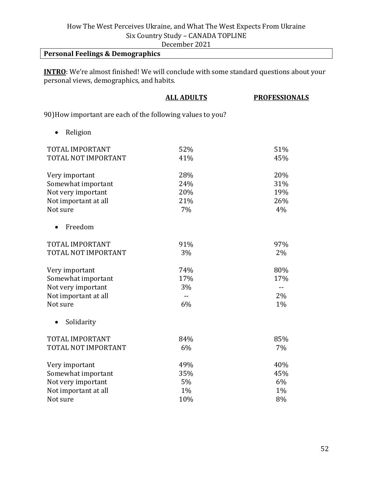December 2021

## **Personal Feelings & Demographics**

**INTRO**: We're almost finished! We will conclude with some standard questions about your personal views, demographics, and habits.

|                                                            | <b>ALL ADULTS</b> | <b>PROFESSIONALS</b> |
|------------------------------------------------------------|-------------------|----------------------|
| 90) How important are each of the following values to you? |                   |                      |
| Religion                                                   |                   |                      |
| TOTAL IMPORTANT                                            | 52%               | 51%                  |
| TOTAL NOT IMPORTANT                                        | 41%               | 45%                  |
| Very important                                             | 28%               | 20%                  |
| Somewhat important                                         | 24%               | 31%                  |
| Not very important                                         | 20%               | 19%                  |
| Not important at all                                       | 21%               | 26%                  |
| Not sure                                                   | 7%                | 4%                   |
| Freedom<br>$\bullet$                                       |                   |                      |
| TOTAL IMPORTANT                                            | 91%               | 97%                  |
| TOTAL NOT IMPORTANT                                        | 3%                | 2%                   |
| Very important                                             | 74%               | 80%                  |
| Somewhat important                                         | 17%               | 17%                  |
| Not very important                                         | 3%                | $-$                  |
| Not important at all                                       | $\overline{a}$    | 2%                   |
| Not sure                                                   | 6%                | 1%                   |
| Solidarity<br>$\bullet$                                    |                   |                      |
| TOTAL IMPORTANT                                            | 84%               | 85%                  |
| TOTAL NOT IMPORTANT                                        | 6%                | 7%                   |
| Very important                                             | 49%               | 40%                  |
| Somewhat important                                         | 35%               | 45%                  |
| Not very important                                         | 5%                | 6%                   |
| Not important at all                                       | 1%                | 1%                   |
| Not sure                                                   | 10%               | 8%                   |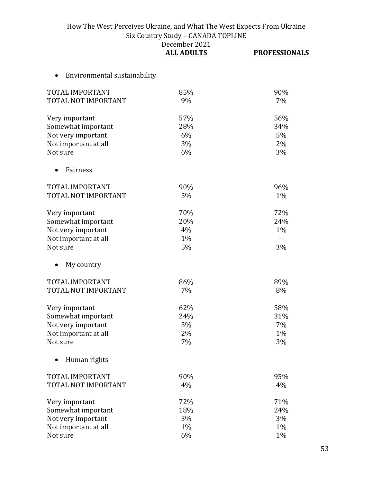|                                           | December 2021<br><b>ALL ADULTS</b> | <b>PROFESSIONALS</b> |
|-------------------------------------------|------------------------------------|----------------------|
| Environmental sustainability<br>$\bullet$ |                                    |                      |
| TOTAL IMPORTANT                           | 85%                                | 90%                  |
| TOTAL NOT IMPORTANT                       | 9%                                 | 7%                   |
| Very important                            | 57%                                | 56%                  |
| Somewhat important                        | 28%                                | 34%                  |
| Not very important                        | 6%                                 | 5%                   |
| Not important at all                      | 3%                                 | 2%                   |
| Not sure                                  | 6%                                 | 3%                   |
| Fairness                                  |                                    |                      |
| TOTAL IMPORTANT                           | 90%                                | 96%                  |
| TOTAL NOT IMPORTANT                       | 5%                                 | $1\%$                |
| Very important                            | 70%                                | 72%                  |
| Somewhat important                        | 20%                                | 24%                  |
| Not very important                        | 4%                                 | 1%                   |
| Not important at all                      | 1%                                 | $-$                  |
| Not sure                                  | 5%                                 | 3%                   |
| My country                                |                                    |                      |
| TOTAL IMPORTANT                           | 86%                                | 89%                  |
| TOTAL NOT IMPORTANT                       | 7%                                 | 8%                   |
| Very important                            | 62%                                | 58%                  |
| Somewhat important                        | 24%                                | 31%                  |
| Not very important                        | 5%                                 | 7%                   |
| Not important at all                      | 2%                                 | 1%                   |
| Not sure                                  | 7%                                 | 3%                   |
| Human rights                              |                                    |                      |
| TOTAL IMPORTANT                           | 90%                                | 95%                  |
| TOTAL NOT IMPORTANT                       | 4%                                 | 4%                   |
| Very important                            | 72%                                | 71%                  |
| Somewhat important                        | 18%                                | 24%                  |
| Not very important                        | 3%                                 | 3%                   |
| Not important at all                      | $1\%$                              | 1%                   |
| Not sure                                  | 6%                                 | 1%                   |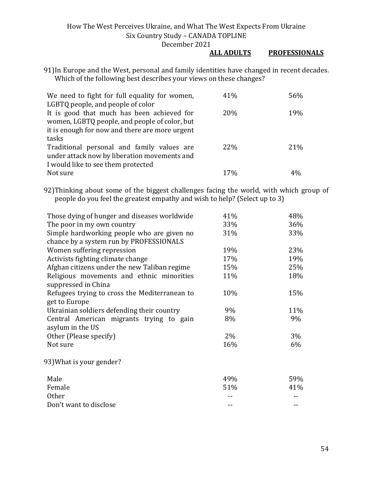#### **ALL ADULTS PROFESSIONALS**

91)In Europe and the West, personal and family identities have changed in recent decades. Which of the following best describes your views on these changes?

| We need to fight for full equality for women,  | 41%             | 56%  |
|------------------------------------------------|-----------------|------|
| LGBTQ people, and people of color              |                 |      |
| It is good that much has been achieved for     | 20%             | 19%  |
| women, LGBTQ people, and people of color, but  |                 |      |
| it is enough for now and there are more urgent |                 |      |
| tasks                                          |                 |      |
| Traditional personal and family values are     | <b>22%</b>      | 21\% |
| under attack now by liberation movements and   |                 |      |
| I would like to see them protected             |                 |      |
| Not sure                                       | 17 <sub>%</sub> |      |

92)Thinking about some of the biggest challenges facing the world, with which group of people do you feel the greatest empathy and wish to help? (Select up to 3)

| Those dying of hunger and diseases worldwide  | 41% | 48% |
|-----------------------------------------------|-----|-----|
| The poor in my own country                    | 33% | 36% |
| Simple hardworking people who are given no    | 31% | 33% |
| chance by a system run by PROFESSIONALS       |     |     |
| Women suffering repression                    | 19% | 23% |
| Activists fighting climate change             | 17% | 19% |
| Afghan citizens under the new Taliban regime  | 15% | 25% |
| Religious movements and ethnic minorities     | 11% | 18% |
| suppressed in China                           |     |     |
| Refugees trying to cross the Mediterranean to | 10% | 15% |
| get to Europe                                 |     |     |
| Ukrainian soldiers defending their country    | 9%  | 11% |
| Central American migrants trying to gain      | 8%  | 9%  |
| asylum in the US                              |     |     |
| Other (Please specify)                        | 2%  | 3%  |
| Not sure                                      | 16% | 6%  |
| 93) What is your gender?                      |     |     |
| Male                                          | 49% | 59% |
| Female                                        | 51% | 41% |
| <b>Other</b>                                  |     |     |
| Don't want to disclose                        |     |     |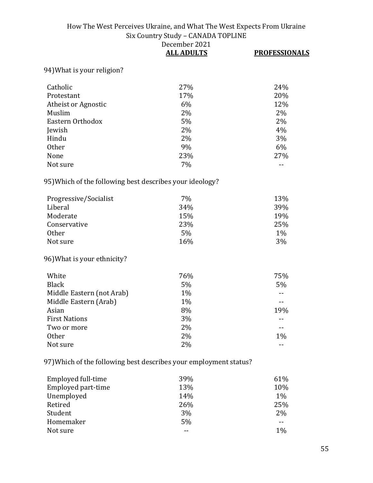|                                                                   | DUUUNUUI BUBI<br><b>ALL ADULTS</b> | <b>PROFESSIONALS</b> |
|-------------------------------------------------------------------|------------------------------------|----------------------|
| 94) What is your religion?                                        |                                    |                      |
| Catholic                                                          | 27%                                | 24%                  |
| Protestant                                                        | 17%                                | 20%                  |
| Atheist or Agnostic                                               | 6%                                 | 12%                  |
| Muslim                                                            | 2%                                 | 2%                   |
| Eastern Orthodox                                                  | 5%                                 | 2%                   |
| Jewish                                                            | 2%                                 | 4%                   |
| Hindu                                                             | 2%                                 | 3%                   |
| <b>Other</b>                                                      | 9%                                 | 6%                   |
| None                                                              | 23%                                | 27%                  |
| Not sure                                                          | 7%                                 |                      |
| 95) Which of the following best describes your ideology?          |                                    |                      |
| Progressive/Socialist                                             | 7%                                 | 13%                  |
| Liberal                                                           | 34%                                | 39%                  |
| Moderate                                                          | 15%                                | 19%                  |
| Conservative                                                      | 23%                                | 25%                  |
| <b>Other</b>                                                      | 5%                                 | $1\%$                |
| Not sure                                                          | 16%                                | 3%                   |
| 96) What is your ethnicity?                                       |                                    |                      |
| White                                                             | 76%                                | 75%                  |
| <b>Black</b>                                                      | 5%                                 | 5%                   |
| Middle Eastern (not Arab)                                         | 1%                                 |                      |
| Middle Eastern (Arab)                                             | $1\%$                              | $-$                  |
| Asian                                                             | 8%                                 | 19%                  |
| <b>First Nations</b>                                              | 3%                                 |                      |
| Two or more                                                       | 2%                                 |                      |
| Other                                                             | 2%                                 | $1\%$                |
| Not sure                                                          | 2%                                 |                      |
| 97) Which of the following best describes your employment status? |                                    |                      |
| Employed full-time                                                | 39%                                | 61%                  |
| Employed part-time                                                | 13%                                | 10%                  |
| Unemployed                                                        | 14%                                | 1%                   |
| Retired                                                           | 26%                                | 25%                  |
| Student                                                           | 3%                                 | 2%                   |
| Homemaker                                                         | 5%                                 | $-$                  |

Homemaker 5% --<br>Not sure 1% -- 5% -- 1%

Not sure  $\qquad$  --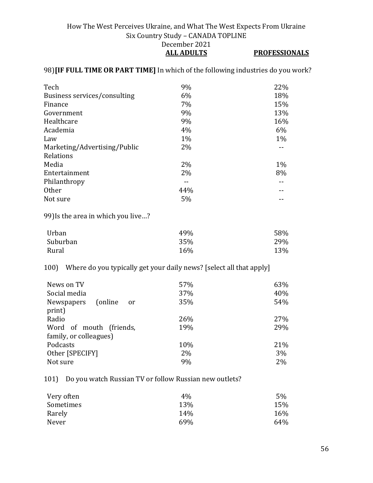#### 98)**[IF FULL TIME OR PART TIME]** In which of the following industries do you work?

| Tech                         | 9%    | 22%   |
|------------------------------|-------|-------|
| Business services/consulting | 6%    | 18%   |
| Finance                      | 7%    | 15%   |
| Government                   | 9%    | 13%   |
| Healthcare                   | 9%    | 16%   |
| Academia                     | 4%    | 6%    |
| Law                          | 1%    | $1\%$ |
| Marketing/Advertising/Public | 2%    |       |
| Relations                    |       |       |
| Media                        | $2\%$ | 1%    |
| Entertainment                | 2%    | 8%    |
| Philanthropy                 |       |       |
| <b>Other</b>                 | 44%   |       |
| Not sure                     | 5%    |       |
|                              |       |       |

99)Is the area in which you live…?

| Urban    | 49% | 58% |
|----------|-----|-----|
| Suburban | 35% | 29% |
| Rural    | 16% | 13% |

100) Where do you typically get your daily news? [select all that apply]

| News on TV<br>Social media<br>(online)<br>Newspapers<br>or | 57%<br>37%<br>35% | 63%<br>40%<br>54% |
|------------------------------------------------------------|-------------------|-------------------|
| print)                                                     |                   |                   |
| Radio<br>Word of mouth (friends,                           | 26%<br>19%        | 27%<br>29%        |
| family, or colleagues)                                     |                   |                   |
| Podcasts                                                   | 10%               | 21%               |
| Other [SPECIFY]                                            | 2%                | 3%                |
| Not sure                                                   | 9%                | 2%                |

101) Do you watch Russian TV or follow Russian new outlets?

| $4\%$ | 5%  |
|-------|-----|
| 13%   | 15% |
| 14%   | 16% |
| 69%   | 64% |
|       |     |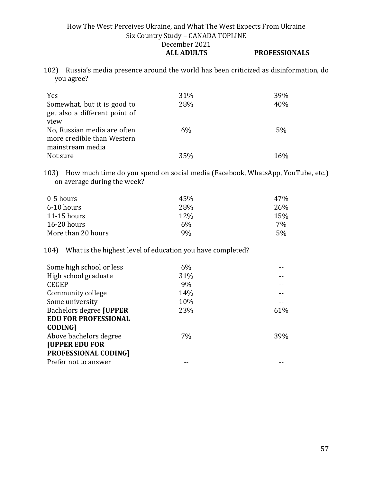102) Russia's media presence around the world has been criticized as disinformation, do you agree?

| Yes                           | 31% | 39% |
|-------------------------------|-----|-----|
| Somewhat, but it is good to   | 28% | 40% |
| get also a different point of |     |     |
| view                          |     |     |
| No, Russian media are often   | 6%  | 5%  |
| more credible than Western    |     |     |
| mainstream media              |     |     |
| Not sure                      | 35% | 16% |

103) How much time do you spend on social media (Facebook, WhatsApp, YouTube, etc.) on average during the week?

| 0-5 hours          | 45%             | 47% |
|--------------------|-----------------|-----|
| 6-10 hours         | 28 <sup>%</sup> | 26% |
| $11-15$ hours      | 12\%            | 15% |
| $16-20$ hours      | 6%              | 7%  |
| More than 20 hours | 9%              | 5%  |

104) What is the highest level of education you have completed?

| 6%  |     |
|-----|-----|
| 31% |     |
| 9%  |     |
| 14% |     |
| 10% |     |
| 23% | 61% |
|     |     |
|     |     |
| 7%  | 39% |
|     |     |
|     |     |
|     |     |
|     |     |